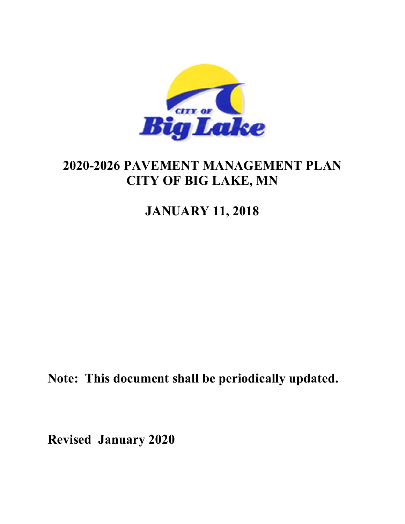

# **2020-2026 PAVEMENT MANAGEMENT PLAN CITY OF BIG LAKE, MN**

# **JANUARY 11, 2018**

**Note: This document shall be periodically updated.** 

**Revised January 2020**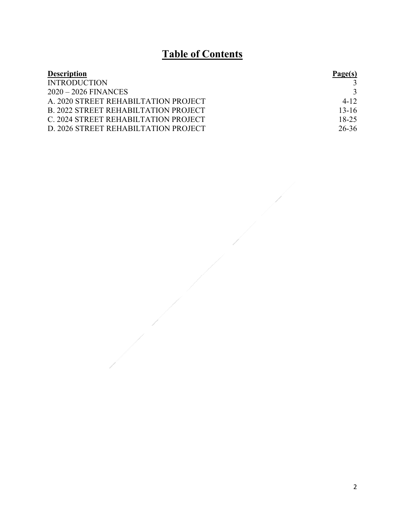# **Table of Contents**

| <b>Description</b>                          | Page(s)   |
|---------------------------------------------|-----------|
| <b>INTRODUCTION</b>                         |           |
| $2020 - 2026$ FINANCES                      |           |
| A. 2020 STREET REHABILTATION PROJECT        | $4 - 12$  |
| <b>B. 2022 STREET REHABILTATION PROJECT</b> | $13 - 16$ |
| C. 2024 STREET REHABILTATION PROJECT        | $18 - 25$ |
| D. 2026 STREET REHABILTATION PROJECT        | 26-36     |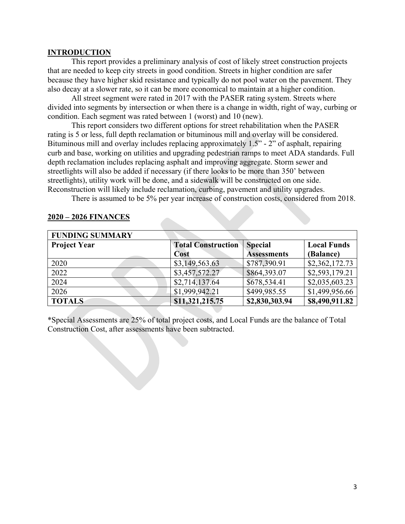#### **INTRODUCTION**

 This report provides a preliminary analysis of cost of likely street construction projects that are needed to keep city streets in good condition. Streets in higher condition are safer because they have higher skid resistance and typically do not pool water on the pavement. They also decay at a slower rate, so it can be more economical to maintain at a higher condition.

 All street segment were rated in 2017 with the PASER rating system. Streets where divided into segments by intersection or when there is a change in width, right of way, curbing or condition. Each segment was rated between 1 (worst) and 10 (new).

 This report considers two different options for street rehabilitation when the PASER rating is 5 or less, full depth reclamation or bituminous mill and overlay will be considered. Bituminous mill and overlay includes replacing approximately 1.5" - 2" of asphalt, repairing curb and base, working on utilities and upgrading pedestrian ramps to meet ADA standards. Full depth reclamation includes replacing asphalt and improving aggregate. Storm sewer and streetlights will also be added if necessary (if there looks to be more than 350' between streetlights), utility work will be done, and a sidewalk will be constructed on one side. Reconstruction will likely include reclamation, curbing, pavement and utility upgrades.

There is assumed to be 5% per year increase of construction costs, considered from 2018.

| <b>FUNDING SUMMARY</b> |                           |                    |                    |
|------------------------|---------------------------|--------------------|--------------------|
| <b>Project Year</b>    | <b>Total Construction</b> | <b>Special</b>     | <b>Local Funds</b> |
|                        | Cost                      | <b>Assessments</b> | (Balance)          |
| 2020                   | \$3,149,563.63            | \$787,390.91       | \$2,362,172.73     |
| 2022                   | \$3,457,572.27            | \$864,393.07       | \$2,593,179.21     |
| 2024                   | \$2,714,137.64            | \$678,534.41       | \$2,035,603.23     |
| 2026                   | \$1,999,942.21            | \$499,985.55       | \$1,499,956.66     |
| <b>TOTALS</b>          | \$11,321,215.75           | \$2,830,303.94     | \$8,490,911.82     |

#### **2020 – 2026 FINANCES**

\*Special Assessments are 25% of total project costs, and Local Funds are the balance of Total Construction Cost, after assessments have been subtracted.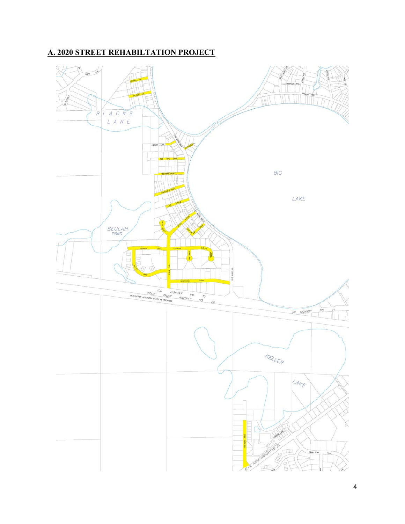## **A. 2020 STREET REHABILTATION PROJECT**

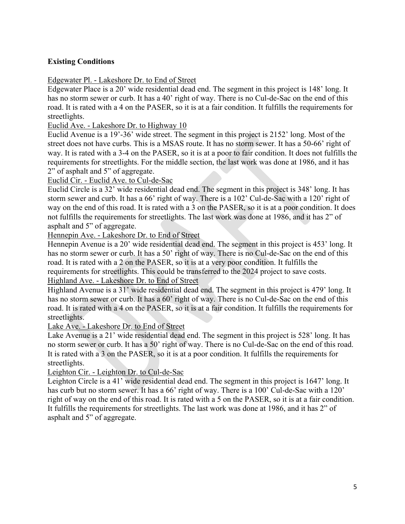#### **Existing Conditions**

#### Edgewater Pl. - Lakeshore Dr. to End of Street

Edgewater Place is a 20' wide residential dead end. The segment in this project is 148' long. It has no storm sewer or curb. It has a 40' right of way. There is no Cul-de-Sac on the end of this road. It is rated with a 4 on the PASER, so it is at a fair condition. It fulfills the requirements for streetlights.

#### Euclid Ave. - Lakeshore Dr. to Highway 10

Euclid Avenue is a 19'-36' wide street. The segment in this project is 2152' long. Most of the street does not have curbs. This is a MSAS route. It has no storm sewer. It has a 50-66' right of way. It is rated with a 3-4 on the PASER, so it is at a poor to fair condition. It does not fulfills the requirements for streetlights. For the middle section, the last work was done at 1986, and it has 2" of asphalt and 5" of aggregate.

#### Euclid Cir. - Euclid Ave. to Cul-de-Sac

Euclid Circle is a 32' wide residential dead end. The segment in this project is 348' long. It has storm sewer and curb. It has a 66' right of way. There is a 102' Cul-de-Sac with a 120' right of way on the end of this road. It is rated with a 3 on the PASER, so it is at a poor condition. It does not fulfills the requirements for streetlights. The last work was done at 1986, and it has 2" of asphalt and 5" of aggregate.

Hennepin Ave. - Lakeshore Dr. to End of Street

Hennepin Avenue is a 20' wide residential dead end. The segment in this project is 453' long. It has no storm sewer or curb. It has a 50' right of way. There is no Cul-de-Sac on the end of this road. It is rated with a 2 on the PASER, so it is at a very poor condition. It fulfills the requirements for streetlights. This could be transferred to the 2024 project to save costs. Highland Ave. - Lakeshore Dr. to End of Street

Highland Avenue is a 31' wide residential dead end. The segment in this project is 479' long. It has no storm sewer or curb. It has a 60' right of way. There is no Cul-de-Sac on the end of this road. It is rated with a 4 on the PASER, so it is at a fair condition. It fulfills the requirements for streetlights.

#### Lake Ave. - Lakeshore Dr. to End of Street

Lake Avenue is a 21' wide residential dead end. The segment in this project is 528' long. It has no storm sewer or curb. It has a 50' right of way. There is no Cul-de-Sac on the end of this road. It is rated with a 3 on the PASER, so it is at a poor condition. It fulfills the requirements for streetlights.

#### Leighton Cir. - Leighton Dr. to Cul-de-Sac

Leighton Circle is a 41' wide residential dead end. The segment in this project is 1647' long. It has curb but no storm sewer. It has a 66' right of way. There is a 100' Cul-de-Sac with a 120' right of way on the end of this road. It is rated with a 5 on the PASER, so it is at a fair condition. It fulfills the requirements for streetlights. The last work was done at 1986, and it has 2" of asphalt and 5" of aggregate.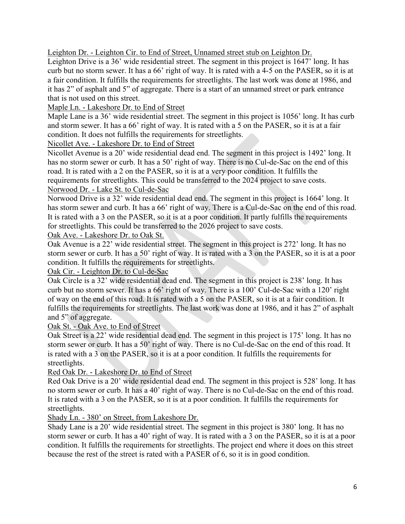Leighton Dr. - Leighton Cir. to End of Street, Unnamed street stub on Leighton Dr.

Leighton Drive is a 36' wide residential street. The segment in this project is 1647' long. It has curb but no storm sewer. It has a 66' right of way. It is rated with a 4-5 on the PASER, so it is at a fair condition. It fulfills the requirements for streetlights. The last work was done at 1986, and it has 2" of asphalt and 5" of aggregate. There is a start of an unnamed street or park entrance that is not used on this street.

Maple Ln. - Lakeshore Dr. to End of Street

Maple Lane is a 36' wide residential street. The segment in this project is 1056' long. It has curb and storm sewer. It has a 66' right of way. It is rated with a 5 on the PASER, so it is at a fair condition. It does not fulfills the requirements for streetlights.

Nicollet Ave. - Lakeshore Dr. to End of Street

Nicollet Avenue is a 20' wide residential dead end. The segment in this project is 1492' long. It has no storm sewer or curb. It has a 50' right of way. There is no Cul-de-Sac on the end of this road. It is rated with a 2 on the PASER, so it is at a very poor condition. It fulfills the requirements for streetlights. This could be transferred to the 2024 project to save costs. Norwood Dr. - Lake St. to Cul-de-Sac

Norwood Drive is a 32' wide residential dead end. The segment in this project is 1664' long. It has storm sewer and curb. It has a 66' right of way. There is a Cul-de-Sac on the end of this road. It is rated with a 3 on the PASER, so it is at a poor condition. It partly fulfills the requirements for streetlights. This could be transferred to the 2026 project to save costs.

Oak Ave. - Lakeshore Dr. to Oak St.

Oak Avenue is a 22' wide residential street. The segment in this project is 272' long. It has no storm sewer or curb. It has a 50' right of way. It is rated with a 3 on the PASER, so it is at a poor condition. It fulfills the requirements for streetlights.

Oak Cir. - Leighton Dr. to Cul-de-Sac

Oak Circle is a 32' wide residential dead end. The segment in this project is 238' long. It has curb but no storm sewer. It has a 66' right of way. There is a 100' Cul-de-Sac with a 120' right of way on the end of this road. It is rated with a 5 on the PASER, so it is at a fair condition. It fulfills the requirements for streetlights. The last work was done at 1986, and it has 2" of asphalt and 5" of aggregate.

Oak St. - Oak Ave. to End of Street

Oak Street is a 22' wide residential dead end. The segment in this project is 175' long. It has no storm sewer or curb. It has a 50' right of way. There is no Cul-de-Sac on the end of this road. It is rated with a 3 on the PASER, so it is at a poor condition. It fulfills the requirements for streetlights.

Red Oak Dr. - Lakeshore Dr. to End of Street

Red Oak Drive is a 20' wide residential dead end. The segment in this project is 528' long. It has no storm sewer or curb. It has a 40' right of way. There is no Cul-de-Sac on the end of this road. It is rated with a 3 on the PASER, so it is at a poor condition. It fulfills the requirements for streetlights.

Shady Ln. - 380' on Street, from Lakeshore Dr.

Shady Lane is a 20' wide residential street. The segment in this project is 380' long. It has no storm sewer or curb. It has a 40' right of way. It is rated with a 3 on the PASER, so it is at a poor condition. It fulfills the requirements for streetlights. The project end where it does on this street because the rest of the street is rated with a PASER of 6, so it is in good condition.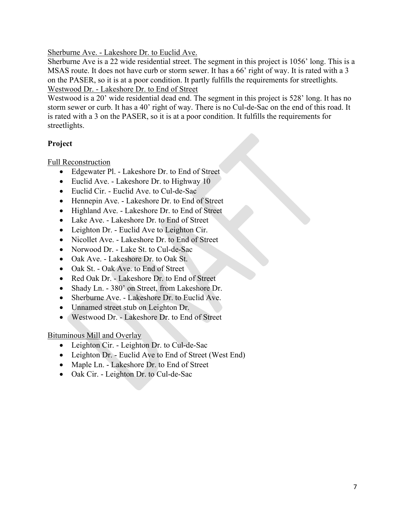Sherburne Ave. - Lakeshore Dr. to Euclid Ave.

Sherburne Ave is a 22 wide residential street. The segment in this project is 1056' long. This is a MSAS route. It does not have curb or storm sewer. It has a 66' right of way. It is rated with a 3 on the PASER, so it is at a poor condition. It partly fulfills the requirements for streetlights. Westwood Dr. - Lakeshore Dr. to End of Street

Westwood is a 20' wide residential dead end. The segment in this project is 528' long. It has no storm sewer or curb. It has a 40' right of way. There is no Cul-de-Sac on the end of this road. It is rated with a 3 on the PASER, so it is at a poor condition. It fulfills the requirements for streetlights.

## **Project**

Full Reconstruction

- Edgewater Pl. Lakeshore Dr. to End of Street
- Euclid Ave. Lakeshore Dr. to Highway 10
- Euclid Cir. Euclid Ave. to Cul-de-Sac
- Hennepin Ave. Lakeshore Dr. to End of Street
- Highland Ave. Lakeshore Dr. to End of Street
- Lake Ave. Lakeshore Dr. to End of Street
- Leighton Dr. Euclid Ave to Leighton Cir.
- Nicollet Ave. Lakeshore Dr. to End of Street
- Norwood Dr. Lake St. to Cul-de-Sac
- Oak Ave. Lakeshore Dr. to Oak St.
- Oak St. Oak Ave. to End of Street
- Red Oak Dr. Lakeshore Dr. to End of Street
- Shady Ln. 380' on Street, from Lakeshore Dr.
- Sherburne Ave. Lakeshore Dr. to Euclid Ave.
- Unnamed street stub on Leighton Dr.
- Westwood Dr. Lakeshore Dr. to End of Street

Bituminous Mill and Overlay

- Leighton Cir. Leighton Dr. to Cul-de-Sac
- Leighton Dr. Euclid Ave to End of Street (West End)
- Maple Ln. Lakeshore Dr. to End of Street
- Oak Cir. Leighton Dr. to Cul-de-Sac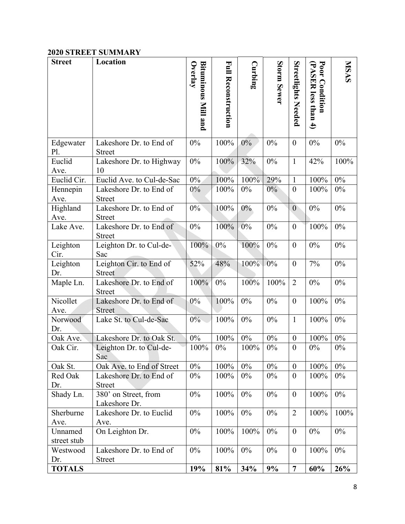### **2020 STREET SUMMARY**

| <b>Street</b>          | Location                                 | Overlay                    |                            | Curbing |             |                            |                                       | <b>NISAS</b> |
|------------------------|------------------------------------------|----------------------------|----------------------------|---------|-------------|----------------------------|---------------------------------------|--------------|
|                        |                                          | <b>Bituminous Mill and</b> | <b>Full Reconstruction</b> |         | Storm Sewer | <b>Streetlights Needed</b> | Poor Condition<br>(PASER less than 4) |              |
| Edgewater<br>P1.       | Lakeshore Dr. to End of<br><b>Street</b> | $0\%$                      | 100%                       | 0%      | 0%          | $\boldsymbol{0}$           | $0\%$                                 | $0\%$        |
| Euclid<br>Ave.         | Lakeshore Dr. to Highway<br>10           | $0\%$                      | 100%                       | 32%     | $0\%$       | $\mathbf{1}$               | 42%                                   | 100%         |
| Euclid Cir.            | Euclid Ave. to Cul-de-Sac                | $0\%$                      | 100%                       | 100%    | 29%         | $\mathbf{1}$               | 100%                                  | 0%           |
| Hennepin<br>Ave.       | Lakeshore Dr. to End of<br><b>Street</b> | $0\%$                      | 100%                       | 0%      | $0\%$       | $\boldsymbol{0}$           | 100%                                  | $0\%$        |
| Highland<br>Ave.       | Lakeshore Dr. to End of<br><b>Street</b> | 0%                         | 100%                       | $0\%$   | $0\%$       | $\boldsymbol{0}$           | $0\%$                                 | $0\%$        |
| Lake Ave.              | Lakeshore Dr. to End of<br><b>Street</b> | $0\%$                      | 100%                       | $0\%$   | $0\%$       | $\boldsymbol{0}$           | 100%                                  | $0\%$        |
| Leighton<br>Cir.       | Leighton Dr. to Cul-de-<br>Sac           | 100%                       | $0\%$                      | 100%    | 0%          | $\boldsymbol{0}$           | $0\%$                                 | $0\%$        |
| Leighton<br>Dr.        | Leighton Cir. to End of<br><b>Street</b> | 52%                        | 48%                        | 100%    | $0\%$       | $\boldsymbol{0}$           | 7%                                    | $0\%$        |
| Maple Ln.              | Lakeshore Dr. to End of<br><b>Street</b> | 100%                       | 0%                         | 100%    | 100%        | $\overline{2}$             | $0\%$                                 | $0\%$        |
| Nicollet<br>Ave.       | Lakeshore Dr. to End of<br><b>Street</b> | $0\%$                      | 100%                       | $0\%$   | $0\%$       | $\boldsymbol{0}$           | 100%                                  | $0\%$        |
| Norwood<br>Dr.         | Lake St. to Cul-de-Sac                   | $0\%$                      | 100%                       | $0\%$   | $0\%$       | $\mathbf{1}$               | 100%                                  | $0\%$        |
| Oak Ave.               | Lakeshore Dr. to Oak St.                 | $0\%$                      | 100%                       | $0\%$   | $0\%$       | $\boldsymbol{0}$           | 100%                                  | $0\%$        |
| Oak Cir.               | Leighton Dr. to Cul-de-<br>Sac           | 100%                       | $0\%$                      | 100%    | $0\%$       | $\boldsymbol{0}$           | $0\%$                                 | $0\%$        |
| Oak St.                | Oak Ave. to End of Street                | 0%                         | 100%                       | $0\%$   | $0\%$       | $\boldsymbol{0}$           | 100%                                  | 0%           |
| Red Oak<br>Dr.         | Lakeshore Dr. to End of<br><b>Street</b> | $0\%$                      | 100%                       | $0\%$   | 0%          | $\overline{0}$             | 100%                                  | $0\%$        |
| Shady Ln.              | 380' on Street, from<br>Lakeshore Dr.    | 0%                         | 100%                       | $0\%$   | 0%          | $\boldsymbol{0}$           | 100%                                  | $0\%$        |
| Sherburne<br>Ave.      | Lakeshore Dr. to Euclid<br>Ave.          | 0%                         | 100%                       | $0\%$   | $0\%$       | $\overline{2}$             | 100%                                  | 100%         |
| Unnamed<br>street stub | On Leighton Dr.                          | 0%                         | 100%                       | 100%    | $0\%$       | $\boldsymbol{0}$           | $0\%$                                 | $0\%$        |
| Westwood<br>Dr.        | Lakeshore Dr. to End of<br><b>Street</b> | $0\%$                      | 100%                       | $0\%$   | $0\%$       | $\boldsymbol{0}$           | 100%                                  | $0\%$        |
| <b>TOTALS</b>          |                                          | 19%                        | 81%                        | 34%     | 9%          | $\overline{7}$             | 60%                                   | 26%          |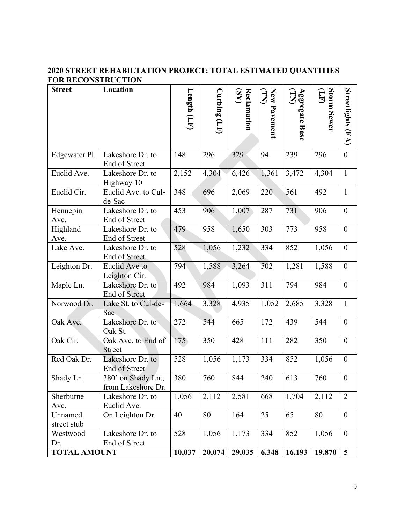## **2020 STREET REHABILTATION PROJECT: TOTAL ESTIMATED QUANTITIES FOR RECONSTRUCTION**

| <b>Street</b>          | Location                                 | Length (LF) | $\text{Curlning}(\text{LF})$ | (SY)<br>Reclamation | New Pavement<br>$\mathbf{\Xi}$ | <b>Aggregate Base</b><br>(TN) | Storm Sewer<br><b>EF</b> | Streetlights (EA) |
|------------------------|------------------------------------------|-------------|------------------------------|---------------------|--------------------------------|-------------------------------|--------------------------|-------------------|
|                        |                                          |             |                              |                     |                                |                               |                          |                   |
| Edgewater Pl.          | Lakeshore Dr. to<br>End of Street        | 148         | 296                          | 329                 | 94                             | 239                           | 296                      | $\boldsymbol{0}$  |
| Euclid Ave.            | Lakeshore Dr. to<br>Highway 10           | 2,152       | 4,304                        | 6,426               | 1,361                          | 3,472                         | 4,304                    | $\mathbf{1}$      |
| Euclid Cir.            | Euclid Ave. to Cul-<br>de-Sac            | 348         | 696                          | 2,069               | 220                            | 561                           | 492                      | $\mathbf{1}$      |
| Hennepin<br>Ave.       | Lakeshore Dr. to<br>End of Street        | 453         | 906                          | 1,007               | 287                            | 731                           | 906                      | $\boldsymbol{0}$  |
| Highland<br>Ave.       | Lakeshore Dr. to<br>End of Street        | 479         | 958                          | 1,650               | 303                            | 773                           | 958                      | $\boldsymbol{0}$  |
| Lake Ave.              | Lakeshore Dr. to<br>End of Street        | 528         | 1,056                        | 1,232               | 334                            | 852                           | 1,056                    | $\boldsymbol{0}$  |
| Leighton Dr.           | Euclid Ave to<br>Leighton Cir.           | 794         | 1,588                        | 3,264               | 502                            | 1,281                         | 1,588                    | $\boldsymbol{0}$  |
| Maple Ln.              | Lakeshore Dr. to<br>End of Street        | 492         | 984                          | 1,093               | 311                            | 794                           | 984                      | $\boldsymbol{0}$  |
| Norwood Dr.            | Lake St. to Cul-de-<br>Sac               | 1,664       | 3,328                        | 4,935               | 1,052                          | 2,685                         | 3,328                    | $\mathbf{1}$      |
| Oak Ave.               | Lakeshore Dr. to<br>Oak St.              | 272         | 544                          | 665                 | 172                            | 439                           | 544                      | $\boldsymbol{0}$  |
| Oak Cir.               | Oak Ave. to End of<br><b>Street</b>      | 175         | 350                          | 428                 | 111                            | 282                           | 350                      | $\boldsymbol{0}$  |
| Red Oak Dr.            | Lakeshore Dr. to<br>End of Street        | 528         | 1,056                        | 1,173               | 334                            | 852                           | 1,056                    | $\boldsymbol{0}$  |
| Shady Ln.              | 380' on Shady Ln.,<br>from Lakeshore Dr. | 380         | 760                          | 844                 | 240                            | 613                           | 760                      | $\boldsymbol{0}$  |
| Sherburne<br>Ave.      | Lakeshore Dr. to<br>Euclid Ave.          | 1,056       | 2,112                        | 2,581               | 668                            | 1,704                         | 2,112                    | $\overline{2}$    |
| Unnamed<br>street stub | On Leighton Dr.                          | 40          | 80                           | 164                 | 25                             | 65                            | 80                       | $\boldsymbol{0}$  |
| Westwood<br>Dr.        | Lakeshore Dr. to<br>End of Street        | 528         | 1,056                        | 1,173               | 334                            | 852                           | 1,056                    | $\boldsymbol{0}$  |
| <b>TOTAL AMOUNT</b>    |                                          | 10,037      | 20,074                       | 29,035              | 6,348                          | 16,193                        | 19,870                   | 5                 |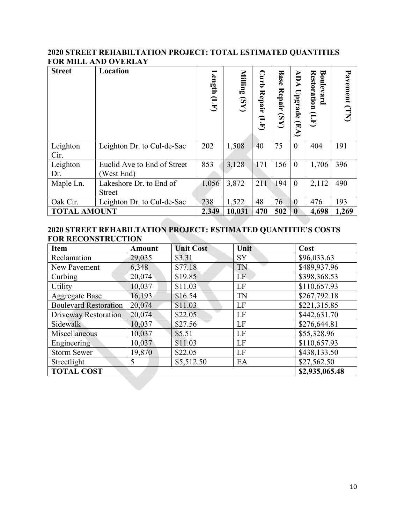#### **2020 STREET REHABILTATION PROJECT: TOTAL ESTIMATED QUANTITIES FOR MILL AND OVERLAY**

| <b>Street</b>       | Location                                  | Length<br>$\mathbf{G}$ | Milling(SY) | Curb<br><b>Repair</b><br>Ê | <b>Base</b><br><b>Repair</b><br>$\overline{\mathbf{S}}$ | ADA<br>Upgrade<br>(EA) | <b>Restoration</b><br>Boulevard<br>$\widehat{\Xi}$ | Pavement (TN) |
|---------------------|-------------------------------------------|------------------------|-------------|----------------------------|---------------------------------------------------------|------------------------|----------------------------------------------------|---------------|
| Leighton<br>Cir.    | Leighton Dr. to Cul-de-Sac                | 202                    | 1,508       | 40                         | 75                                                      | $\overline{0}$         | 404                                                | 191           |
| Leighton<br>Dr.     | Euclid Ave to End of Street<br>(West End) | 853                    | 3,128       | 171                        | 156                                                     | $\overline{0}$         | 1,706                                              | 396           |
| Maple Ln.           | Lakeshore Dr. to End of<br>Street         | 1,056                  | 3,872       | 211                        | 194                                                     | $\overline{0}$         | 2,112                                              | 490           |
| Oak Cir.            | Leighton Dr. to Cul-de-Sac                | 238                    | 1,522       | 48                         | 76                                                      | $\overline{0}$         | 476                                                | 193           |
| <b>TOTAL AMOUNT</b> |                                           | 2,349                  | 10,031      | 470                        | 502                                                     | $\bf{0}$               | 4,698                                              | 1,269         |

#### **2020 STREET REHABILTATION PROJECT: ESTIMATED QUANTITIE'S COSTS FOR RECONSTRUCTION**  b.

| Item                                | <b>Amount</b> | <b>Unit Cost</b> | Unit      | Cost         |  |
|-------------------------------------|---------------|------------------|-----------|--------------|--|
| Reclamation                         | 29,035        | \$3.31           | <b>SY</b> | \$96,033.63  |  |
| New Pavement                        | 6,348         | \$77.18          | TN        | \$489,937.96 |  |
| Curbing                             | 20,074        | \$19.85          | LF        | \$398,368.53 |  |
| Utility                             | 10,037        | \$11.03          | LF        | \$110,657.93 |  |
| <b>Aggregate Base</b>               | 16,193        | \$16.54          | TN        | \$267,792.18 |  |
| <b>Boulevard Restoration</b>        | 20,074        | \$11.03          | LF        | \$221,315.85 |  |
| <b>Driveway Restoration</b>         | 20,074        | \$22.05          | LF        | \$442,631.70 |  |
| Sidewalk                            | 10,037        | \$27.56          | LF        | \$276,644.81 |  |
| Miscellaneous                       | 10,037        | \$5.51           | LF        | \$55,328.96  |  |
| Engineering                         | 10,037        | \$11.03          | LF        | \$110,657.93 |  |
| <b>Storm Sewer</b>                  | 19,870        | \$22.05          | LF        | \$438,133.50 |  |
| Streetlight                         | 5             | \$5,512.50       | EA        | \$27,562.50  |  |
| <b>TOTAL COST</b><br>\$2,935,065.48 |               |                  |           |              |  |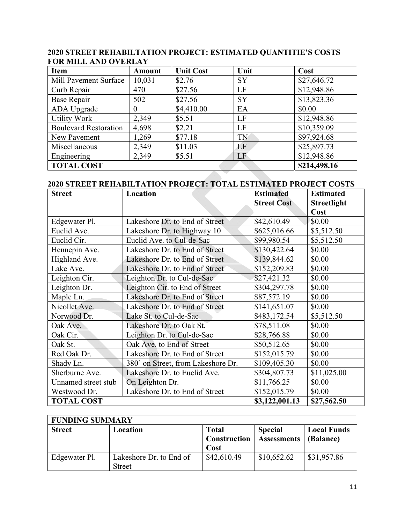| Item                         | <b>Amount</b> | <b>Unit Cost</b> | Unit      | Cost         |
|------------------------------|---------------|------------------|-----------|--------------|
| Mill Pavement Surface        | 10,031        | \$2.76           | <b>SY</b> | \$27,646.72  |
| Curb Repair                  | 470           | \$27.56          | LF        | \$12,948.86  |
| <b>Base Repair</b>           | 502           | \$27.56          | <b>SY</b> | \$13,823.36  |
| ADA Upgrade                  | $\theta$      | \$4,410.00       | EA        | \$0.00       |
| <b>Utility Work</b>          | 2,349         | \$5.51           | LF        | \$12,948.86  |
| <b>Boulevard Restoration</b> | 4,698         | \$2.21           | LF        | \$10,359.09  |
| New Pavement                 | 1,269         | \$77.18          | TN        | \$97,924.68  |
| Miscellaneous                | 2,349         | \$11.03          | LF        | \$25,897.73  |
| Engineering                  | 2,349         | \$5.51           | LF        | \$12,948.86  |
| <b>TOTAL COST</b>            |               |                  |           | \$214,498.16 |

#### **2020 STREET REHABILTATION PROJECT: ESTIMATED QUANTITIE'S COSTS FOR MILL AND OVERLAY**

## **2020 STREET REHABILTATION PROJECT: TOTAL ESTIMATED PROJECT COSTS**

| <b>Street</b>       | Location                           | <b>Estimated</b>   | <b>Estimated</b>   |
|---------------------|------------------------------------|--------------------|--------------------|
|                     |                                    | <b>Street Cost</b> | <b>Streetlight</b> |
|                     |                                    |                    | Cost               |
| Edgewater Pl.       | Lakeshore Dr. to End of Street     | \$42,610.49        | \$0.00             |
| Euclid Ave.         | Lakeshore Dr. to Highway 10        | \$625,016.66       | \$5,512.50         |
| Euclid Cir.         | Euclid Ave. to Cul-de-Sac          | \$99,980.54        | \$5,512.50         |
| Hennepin Ave.       | Lakeshore Dr. to End of Street     | \$130,422.64       | \$0.00             |
| Highland Ave.       | Lakeshore Dr. to End of Street     | \$139,844.62       | \$0.00             |
| Lake Ave.           | Lakeshore Dr. to End of Street     | \$152,209.83       | \$0.00             |
| Leighton Cir.       | Leighton Dr. to Cul-de-Sac         | \$27,421.32        | \$0.00             |
| Leighton Dr.        | Leighton Cir. to End of Street     | \$304,297.78       | \$0.00             |
| Maple Ln.           | Lakeshore Dr. to End of Street     | \$87,572.19        | \$0.00             |
| Nicollet Ave.       | Lakeshore Dr. to End of Street     | \$141,651.07       | \$0.00             |
| Norwood Dr.         | Lake St. to Cul-de-Sac             | \$483,172.54       | \$5,512.50         |
| Oak Ave.            | Lakeshore Dr. to Oak St.           | \$78,511.08        | \$0.00             |
| Oak Cir.            | Leighton Dr. to Cul-de-Sac         | \$28,766.88        | \$0.00             |
| Oak St.             | Oak Ave. to End of Street          | \$50,512.65        | \$0.00             |
| Red Oak Dr.         | Lakeshore Dr. to End of Street     | \$152,015.79       | \$0.00             |
| Shady Ln.           | 380' on Street, from Lakeshore Dr. | \$109,405.30       | \$0.00             |
| Sherburne Ave.      | Lakeshore Dr. to Euclid Ave.       | \$304,807.73       | \$11,025.00        |
| Unnamed street stub | On Leighton Dr.                    | \$11,766.25        | \$0.00             |
| Westwood Dr.        | Lakeshore Dr. to End of Street     | \$152,015.79       | \$0.00             |
| <b>TOTAL COST</b>   |                                    | \$3,122,001.13     | \$27,562.50        |

|  | <b>FUNDING SUMMARY</b> |
|--|------------------------|
|--|------------------------|

| <b>Street</b> | Location                                 | <b>Total</b><br>Construction<br>Cost | <b>Special</b><br><b>Assessments</b> | <b>Local Funds</b><br>(Balance) |
|---------------|------------------------------------------|--------------------------------------|--------------------------------------|---------------------------------|
| Edgewater Pl. | Lakeshore Dr. to End of<br><b>Street</b> | \$42,610.49                          | \$10,652.62                          | \$31,957.86                     |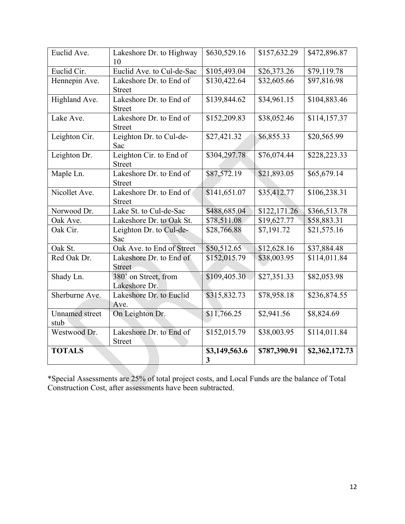| Euclid Ave.                   | Lakeshore Dr. to Highway<br>10           | \$630,529.16       | \$157,632.29 | \$472,896.87   |
|-------------------------------|------------------------------------------|--------------------|--------------|----------------|
| Euclid Cir.                   | Euclid Ave. to Cul-de-Sac                | \$105,493.04       | \$26,373.26  | \$79,119.78    |
| Hennepin Ave.                 | Lakeshore Dr. to End of<br><b>Street</b> | \$130,422.64       | \$32,605.66  | \$97,816.98    |
| Highland Ave.                 | Lakeshore Dr. to End of<br><b>Street</b> | \$139,844.62       | \$34,961.15  | \$104,883.46   |
| Lake Ave.                     | Lakeshore Dr. to End of<br><b>Street</b> | \$152,209.83       | \$38,052.46  | \$114,157.37   |
| Leighton Cir.                 | Leighton Dr. to Cul-de-<br>Sac           | \$27,421.32        | \$6,855.33   | \$20,565.99    |
| Leighton Dr.                  | Leighton Cir. to End of<br><b>Street</b> | \$304,297.78       | \$76,074.44  | \$228,223.33   |
| Maple Ln.                     | Lakeshore Dr. to End of<br><b>Street</b> | \$87,572.19        | \$21,893.05  | \$65,679.14    |
| Nicollet Ave.                 | Lakeshore Dr. to End of<br><b>Street</b> | \$141,651.07       | \$35,412.77  | \$106,238.31   |
| Norwood Dr.                   | Lake St. to Cul-de-Sac                   | \$488,685.04       | \$122,171.26 | \$366,513.78   |
| Oak Ave.                      | Lakeshore Dr. to Oak St.                 | \$78,511.08        | \$19,627.77  | \$58,883.31    |
| Oak Cir.                      | Leighton Dr. to Cul-de-<br>Sac           | \$28,766.88        | \$7,191.72   | \$21,575.16    |
| Oak St.                       | Oak Ave. to End of Street                | \$50,512.65        | \$12,628.16  | \$37,884.48    |
| Red Oak Dr.                   | Lakeshore Dr. to End of<br><b>Street</b> | \$152,015.79       | \$38,003.95  | \$114,011.84   |
| Shady Ln.                     | 380' on Street, from<br>Lakeshore Dr.    | \$109,405.30       | \$27,351.33  | \$82,053.98    |
| Sherburne Ave.                | Lakeshore Dr. to Euclid<br>Ave.          | \$315,832.73       | \$78,958.18  | \$236,874.55   |
| <b>Unnamed</b> street<br>stub | On Leighton Dr.                          | \$11,766.25        | \$2,941.56   | \$8,824.69     |
| Westwood Dr.                  | Lakeshore Dr. to End of<br><b>Street</b> | \$152,015.79       | \$38,003.95  | \$114,011.84   |
| <b>TOTALS</b>                 |                                          | \$3,149,563.6<br>3 | \$787,390.91 | \$2,362,172.73 |

\*Special Assessments are 25% of total project costs, and Local Funds are the balance of Total Construction Cost, after assessments have been subtracted.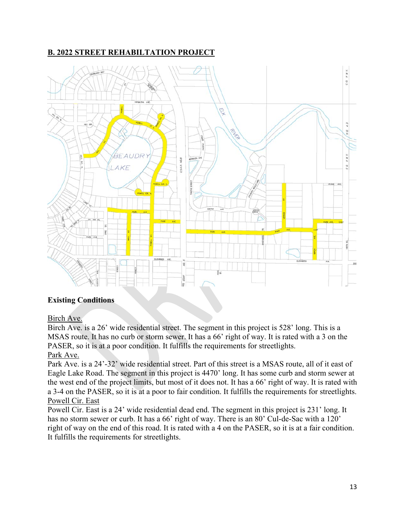## **B. 2022 STREET REHABILTATION PROJECT**



#### **Existing Conditions**

#### Birch Ave.

Birch Ave. is a 26' wide residential street. The segment in this project is 528' long. This is a MSAS route. It has no curb or storm sewer. It has a 66' right of way. It is rated with a 3 on the PASER, so it is at a poor condition. It fulfills the requirements for streetlights.

#### Park Ave.

Park Ave. is a 24'-32' wide residential street. Part of this street is a MSAS route, all of it east of Eagle Lake Road. The segment in this project is 4470' long. It has some curb and storm sewer at the west end of the project limits, but most of it does not. It has a 66' right of way. It is rated with a 3-4 on the PASER, so it is at a poor to fair condition. It fulfills the requirements for streetlights. Powell Cir. East

Powell Cir. East is a 24' wide residential dead end. The segment in this project is 231' long. It has no storm sewer or curb. It has a 66' right of way. There is an 80' Cul-de-Sac with a 120' right of way on the end of this road. It is rated with a 4 on the PASER, so it is at a fair condition. It fulfills the requirements for streetlights.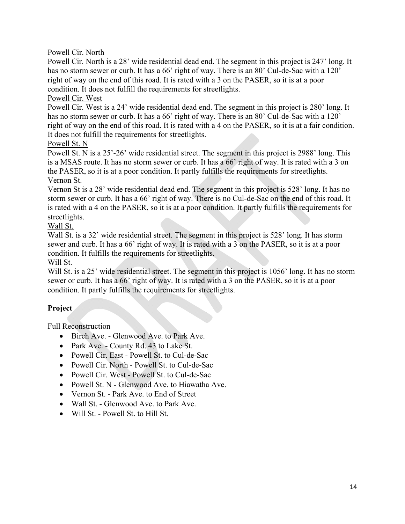Powell Cir. North

Powell Cir. North is a 28' wide residential dead end. The segment in this project is 247' long. It has no storm sewer or curb. It has a 66' right of way. There is an 80' Cul-de-Sac with a 120' right of way on the end of this road. It is rated with a 3 on the PASER, so it is at a poor condition. It does not fulfill the requirements for streetlights.

Powell Cir. West

Powell Cir. West is a 24' wide residential dead end. The segment in this project is 280' long. It has no storm sewer or curb. It has a 66' right of way. There is an 80' Cul-de-Sac with a 120' right of way on the end of this road. It is rated with a 4 on the PASER, so it is at a fair condition. It does not fulfill the requirements for streetlights.

#### Powell St. N

Powell St. N is a 25'-26' wide residential street. The segment in this project is 2988' long. This is a MSAS route. It has no storm sewer or curb. It has a 66' right of way. It is rated with a 3 on the PASER, so it is at a poor condition. It partly fulfills the requirements for streetlights.

#### Vernon St.

Vernon St is a 28' wide residential dead end. The segment in this project is 528' long. It has no storm sewer or curb. It has a 66' right of way. There is no Cul-de-Sac on the end of this road. It is rated with a 4 on the PASER, so it is at a poor condition. It partly fulfills the requirements for streetlights.

Wall St.

Wall St. is a 32' wide residential street. The segment in this project is 528' long. It has storm sewer and curb. It has a 66' right of way. It is rated with a 3 on the PASER, so it is at a poor condition. It fulfills the requirements for streetlights.

#### Will St.

Will St. is a 25' wide residential street. The segment in this project is 1056' long. It has no storm sewer or curb. It has a 66' right of way. It is rated with a 3 on the PASER, so it is at a poor condition. It partly fulfills the requirements for streetlights.

## **Project**

Full Reconstruction

- Birch Ave. Glenwood Ave. to Park Ave.
- Park Ave. County Rd. 43 to Lake St.
- Powell Cir. East Powell St. to Cul-de-Sac
- Powell Cir. North Powell St. to Cul-de-Sac
- Powell Cir. West Powell St. to Cul-de-Sac
- Powell St. N Glenwood Ave. to Hiawatha Ave.
- Vernon St. Park Ave. to End of Street
- Wall St. Glenwood Ave. to Park Ave.
- Will St. Powell St. to Hill St.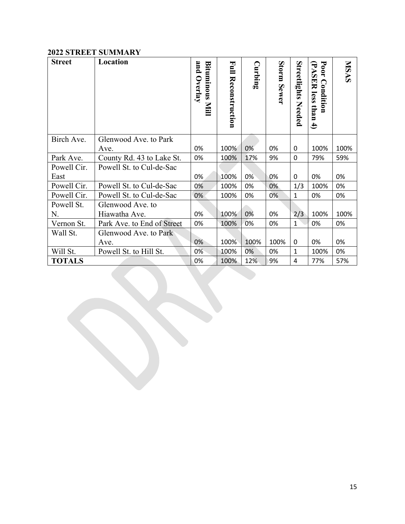#### **2022 STREET SUMMARY**

| <b>Street</b> | Location                   | and<br>Bituminous<br>Overlay<br>Mill | E<br><b>Reconstruction</b> | Curbing | Storm Sewer | Streetlights<br>Needed | Poor<br>PASER less<br>Condition<br>than<br>$\overline{4}$ | <b>NISAS</b> |
|---------------|----------------------------|--------------------------------------|----------------------------|---------|-------------|------------------------|-----------------------------------------------------------|--------------|
| Birch Ave.    | Glenwood Ave. to Park      |                                      |                            |         |             |                        |                                                           |              |
|               | Ave.                       | 0%                                   | 100%                       | 0%      | 0%          | 0                      | 100%                                                      | 100%         |
| Park Ave.     | County Rd. 43 to Lake St.  | 0%                                   | 100%                       | 17%     | 9%          | $\mathbf 0$            | 79%                                                       | 59%          |
| Powell Cir.   | Powell St. to Cul-de-Sac   |                                      |                            |         |             |                        |                                                           |              |
| East          |                            | 0%                                   | 100%                       | 0%      | 0%          | 0                      | 0%                                                        | 0%           |
| Powell Cir.   | Powell St. to Cul-de-Sac   | 0%                                   | 100%                       | 0%      | 0%          | 1/3                    | 100%                                                      | 0%           |
| Powell Cir.   | Powell St. to Cul-de-Sac   | 0%                                   | 100%                       | 0%      | 0%          | $\mathbf{1}$           | 0%                                                        | 0%           |
| Powell St.    | Glenwood Ave. to           |                                      |                            |         |             |                        |                                                           |              |
| N.            | Hiawatha Ave.              | 0%                                   | 100%                       | 0%      | 0%          | 2/3                    | 100%                                                      | 100%         |
| Vernon St.    | Park Ave. to End of Street | 0%                                   | 100%                       | 0%      | 0%          | $\mathbf{1}$           | 0%                                                        | 0%           |
| Wall St.      | Glenwood Ave. to Park      |                                      |                            |         |             |                        |                                                           |              |
|               | Ave.                       | 0%                                   | 100%                       | 100%    | 100%        | 0                      | 0%                                                        | 0%           |
| Will St.      | Powell St. to Hill St.     | 0%                                   | 100%                       | 0%      | 0%          | $\mathbf{1}$           | 100%                                                      | 0%           |
| <b>TOTALS</b> |                            | 0%                                   | 100%                       | 12%     | 9%          | 4                      | 77%                                                       | 57%          |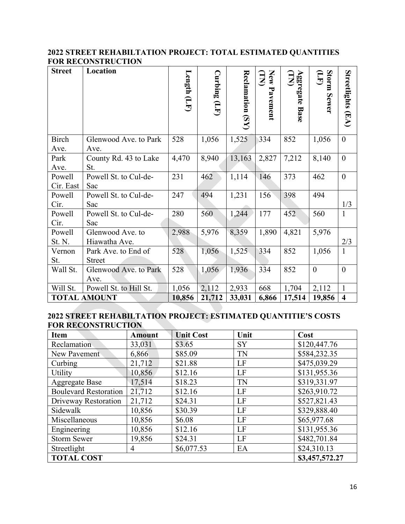### **2022 STREET REHABILTATION PROJECT: TOTAL ESTIMATED QUANTITIES FOR RECONSTRUCTION**

| <b>Street</b>        | Location                             | $L$ ength $(LF)$ | Curbing |                       | New Pavement<br>$\mathbf{E}$ | Aggregate <sup>-</sup><br>Aggregate <sup>-</sup> | Storm Sewer<br>Ê |                         |
|----------------------|--------------------------------------|------------------|---------|-----------------------|------------------------------|--------------------------------------------------|------------------|-------------------------|
|                      |                                      |                  | (TL)    | $Rec$ lamation $(SY)$ |                              | <b>Base</b>                                      |                  | Streetlights (EA)       |
| <b>Birch</b><br>Ave. | Glenwood Ave. to Park<br>Ave.        | 528              | 1,056   | 1,525                 | 334                          | 852                                              | 1,056            | $\mathbf{0}$            |
| Park<br>Ave.         | County Rd. 43 to Lake<br>St.         | 4,470            | 8,940   | 13,163                | 2,827                        | 7,212                                            | 8,140            | $\overline{0}$          |
| Powell<br>Cir. East  | Powell St. to Cul-de-<br>Sac         | 231              | 462     | 1,114                 | 146                          | 373                                              | 462              | $\boldsymbol{0}$        |
| Powell<br>Cir.       | Powell St. to Cul-de-<br>Sac         | 247              | 494     | 1,231                 | 156                          | 398                                              | 494              | 1/3                     |
| Powell<br>Cir.       | Powell St. to Cul-de-<br>Sac         | 280              | 560     | 1,244                 | 177                          | 452                                              | 560              | $\mathbf{1}$            |
| Powell<br>St. N.     | Glenwood Ave. to<br>Hiawatha Ave.    | 2,988            | 5,976   | 8,359                 | 1,890                        | 4,821                                            | 5,976            | 2/3                     |
| Vernon<br>St.        | Park Ave. to End of<br><b>Street</b> | 528              | 1,056   | 1,525                 | 334                          | 852                                              | 1,056            | $\mathbf{1}$            |
| Wall St.             | Glenwood Ave. to Park<br>Ave.        | 528              | 1,056   | 1,936                 | 334                          | 852                                              | $\theta$         | $\theta$                |
| Will St.             | Powell St. to Hill St.               | 1,056            | 2,112   | 2,933                 | 668                          | 1,704                                            | 2,112            | $\mathbf{1}$            |
|                      | <b>TOTAL AMOUNT</b>                  | 10,856           | 21,712  | 33,031                | 6,866                        | 17,514                                           | 19,856           | $\overline{\mathbf{4}}$ |

#### **2022 STREET REHABILTATION PROJECT: ESTIMATED QUANTITIE'S COSTS FOR RECONSTRUCTION**

| <b>Item</b>                  | <b>Amount</b> | <b>Unit Cost</b> | Unit      | Cost           |
|------------------------------|---------------|------------------|-----------|----------------|
| Reclamation                  | 33,031        | \$3.65           | <b>SY</b> | \$120,447.76   |
| New Pavement                 | 6,866         | \$85.09          | <b>TN</b> | \$584,232.35   |
| Curbing                      | 21,712        | \$21.88          | LF        | \$475,039.29   |
| <b>Utility</b>               | 10,856        | \$12.16          | LF        | \$131,955.36   |
| <b>Aggregate Base</b>        | 17,514        | \$18.23          | <b>TN</b> | \$319,331.97   |
| <b>Boulevard Restoration</b> | 21,712        | \$12.16          | LF        | \$263,910.72   |
| Driveway Restoration         | 21,712        | \$24.31          | LF        | \$527,821.43   |
| Sidewalk                     | 10,856        | \$30.39          | LF        | \$329,888.40   |
| Miscellaneous                | 10,856        | \$6.08           | LF        | \$65,977.68    |
| Engineering                  | 10,856        | \$12.16          | LF        | \$131,955.36   |
| <b>Storm Sewer</b>           | 19,856        | \$24.31          | LF        | \$482,701.84   |
| Streetlight                  | 4             | \$6,077.53       | EA        | \$24,310.13    |
| <b>TOTAL COST</b>            |               |                  |           | \$3,457,572.27 |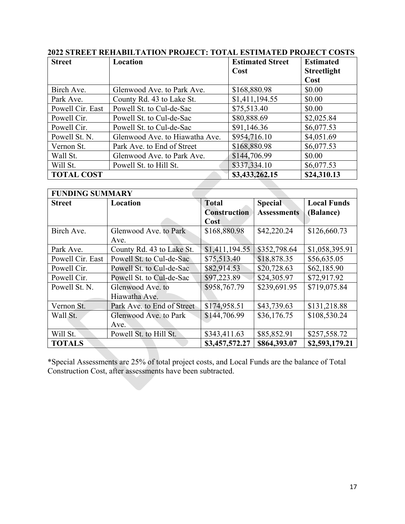| <b>Street</b>     | Location                       | <b>Estimated Street</b> | <b>Estimated</b>   |
|-------------------|--------------------------------|-------------------------|--------------------|
|                   |                                | Cost                    | <b>Streetlight</b> |
|                   |                                |                         | Cost               |
| Birch Ave.        | Glenwood Ave. to Park Ave.     | \$168,880.98            | \$0.00             |
| Park Ave.         | County Rd. 43 to Lake St.      | \$1,411,194.55          | \$0.00             |
| Powell Cir. East  | Powell St. to Cul-de-Sac       | \$75,513.40             | \$0.00             |
| Powell Cir.       | Powell St. to Cul-de-Sac       | \$80,888.69             | \$2,025.84         |
| Powell Cir.       | Powell St. to Cul-de-Sac       | \$91,146.36             | \$6,077.53         |
| Powell St. N.     | Glenwood Ave. to Hiawatha Ave. | \$954,716.10            | \$4,051.69         |
| Vernon St.        | Park Ave. to End of Street     | \$168,880.98            | \$6,077.53         |
| Wall St.          | Glenwood Ave. to Park Ave.     | \$144,706.99            | \$0.00             |
| Will St.          | Powell St. to Hill St.         | \$337,334.10            | \$6,077.53         |
| <b>TOTAL COST</b> |                                | \$3,433,262.15          | \$24,310.13        |

## **2022 STREET REHABILTATION PROJECT: TOTAL ESTIMATED PROJECT COSTS**

| <b>FUNDING SUMMARY</b> |                            |                     |                    |                    |
|------------------------|----------------------------|---------------------|--------------------|--------------------|
| <b>Street</b>          | Location                   | <b>Total</b>        | <b>Special</b>     | <b>Local Funds</b> |
|                        |                            | <b>Construction</b> | <b>Assessments</b> | (Balance)          |
|                        |                            | Cost                |                    |                    |
| Birch Ave.             | Glenwood Ave. to Park      | \$168,880.98        | \$42,220.24        | \$126,660.73       |
|                        | Ave.                       |                     |                    |                    |
| Park Ave.              | County Rd. 43 to Lake St.  | \$1,411,194.55      | \$352,798.64       | \$1,058,395.91     |
| Powell Cir. East       | Powell St. to Cul-de-Sac   | \$75,513.40         | \$18,878.35        | \$56,635.05        |
| Powell Cir.            | Powell St. to Cul-de-Sac   | \$82,914.53         | \$20,728.63        | \$62,185.90        |
| Powell Cir.            | Powell St. to Cul-de-Sac   | \$97,223.89         | \$24,305.97        | \$72,917.92        |
| Powell St. N.          | Glenwood Ave. to           | \$958,767.79        | \$239,691.95       | \$719,075.84       |
|                        | Hiawatha Ave.              |                     |                    |                    |
| Vernon St.             | Park Ave. to End of Street | \$174,958.51        | \$43,739.63        | \$131,218.88       |
| Wall St.               | Glenwood Ave. to Park      | \$144,706.99        | \$36,176.75        | \$108,530.24       |
|                        | Ave.                       |                     |                    |                    |
| Will St.               | Powell St. to Hill St.     | \$343,411.63        | \$85,852.91        | \$257,558.72       |
| <b>TOTALS</b>          |                            | \$3,457,572.27      | \$864,393.07       | \$2,593,179.21     |

\*Special Assessments are 25% of total project costs, and Local Funds are the balance of Total Construction Cost, after assessments have been subtracted.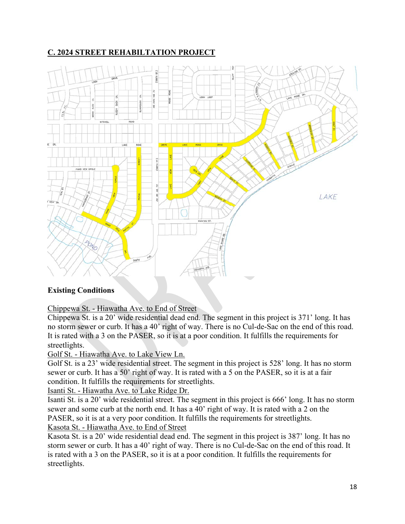## **C. 2024 STREET REHABILTATION PROJECT**



## **Existing Conditions**

## Chippewa St. - Hiawatha Ave. to End of Street

Chippewa St. is a 20' wide residential dead end. The segment in this project is 371' long. It has no storm sewer or curb. It has a 40' right of way. There is no Cul-de-Sac on the end of this road. It is rated with a 3 on the PASER, so it is at a poor condition. It fulfills the requirements for streetlights.

#### Golf St. - Hiawatha Ave. to Lake View Ln.

Golf St. is a 23' wide residential street. The segment in this project is 528' long. It has no storm sewer or curb. It has a 50' right of way. It is rated with a 5 on the PASER, so it is at a fair condition. It fulfills the requirements for streetlights.

Isanti St. - Hiawatha Ave. to Lake Ridge Dr.

Isanti St. is a 20' wide residential street. The segment in this project is 666' long. It has no storm sewer and some curb at the north end. It has a 40' right of way. It is rated with a 2 on the PASER, so it is at a very poor condition. It fulfills the requirements for streetlights. Kasota St. - Hiawatha Ave. to End of Street

Kasota St. is a 20' wide residential dead end. The segment in this project is 387' long. It has no storm sewer or curb. It has a 40' right of way. There is no Cul-de-Sac on the end of this road. It is rated with a 3 on the PASER, so it is at a poor condition. It fulfills the requirements for streetlights.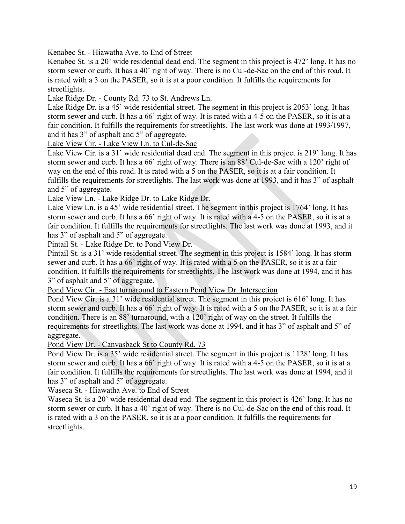Kenabec St. - Hiawatha Ave. to End of Street

Kenabec St. is a 20' wide residential dead end. The segment in this project is 472' long. It has no storm sewer or curb. It has a 40' right of way. There is no Cul-de-Sac on the end of this road. It is rated with a 3 on the PASER, so it is at a poor condition. It fulfills the requirements for streetlights.

Lake Ridge Dr. - County Rd. 73 to St. Andrews Ln.

Lake Ridge Dr. is a 45' wide residential street. The segment in this project is 2053' long. It has storm sewer and curb. It has a 66' right of way. It is rated with a 4-5 on the PASER, so it is at a fair condition. It fulfills the requirements for streetlights. The last work was done at 1993/1997, and it has 3" of asphalt and 5" of aggregate.

Lake View Cir. - Lake View Ln. to Cul-de-Sac

Lake View Cir. is a 31' wide residential dead end. The segment in this project is 219' long. It has storm sewer and curb. It has a 66' right of way. There is an 88' Cul-de-Sac with a 120' right of way on the end of this road. It is rated with a 5 on the PASER, so it is at a fair condition. It fulfills the requirements for streetlights. The last work was done at 1993, and it has 3" of asphalt and 5" of aggregate.

Lake View Ln. - Lake Ridge Dr. to Lake Ridge Dr.

Lake View Ln. is a 45' wide residential street. The segment in this project is 1764' long. It has storm sewer and curb. It has a 66' right of way. It is rated with a 4-5 on the PASER, so it is at a fair condition. It fulfills the requirements for streetlights. The last work was done at 1993, and it has 3" of asphalt and 5" of aggregate.

Pintail St. - Lake Ridge Dr. to Pond View Dr.

Pintail St. is a 31' wide residential street. The segment in this project is 1584' long. It has storm sewer and curb. It has a 66' right of way. It is rated with a 5 on the PASER, so it is at a fair condition. It fulfills the requirements for streetlights. The last work was done at 1994, and it has 3" of asphalt and 5" of aggregate.

Pond View Cir. - East turnaround to Eastern Pond View Dr. Intersection

Pond View Cir. is a 31' wide residential street. The segment in this project is 616' long. It has storm sewer and curb. It has a 66' right of way. It is rated with a 5 on the PASER, so it is at a fair condition. There is an 88' turnaround, with a 120' right of way on the street. It fulfills the requirements for streetlights. The last work was done at 1994, and it has 3" of asphalt and 5" of aggregate.

Pond View Dr. - Canvasback St to County Rd. 73

Pond View Dr. is a 35' wide residential street. The segment in this project is 1128' long. It has storm sewer and curb. It has a 66' right of way. It is rated with a 4-5 on the PASER, so it is at a fair condition. It fulfills the requirements for streetlights. The last work was done at 1994, and it has 3" of asphalt and 5" of aggregate.

Waseca St. - Hiawatha Ave. to End of Street

Waseca St. is a 20' wide residential dead end. The segment in this project is 426' long. It has no storm sewer or curb. It has a 40' right of way. There is no Cul-de-Sac on the end of this road. It is rated with a 3 on the PASER, so it is at a poor condition. It fulfills the requirements for streetlights.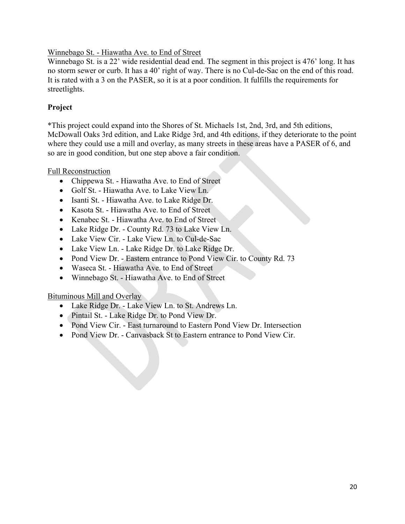#### Winnebago St. - Hiawatha Ave. to End of Street

Winnebago St. is a 22' wide residential dead end. The segment in this project is 476' long. It has no storm sewer or curb. It has a 40' right of way. There is no Cul-de-Sac on the end of this road. It is rated with a 3 on the PASER, so it is at a poor condition. It fulfills the requirements for streetlights.

#### **Project**

\*This project could expand into the Shores of St. Michaels 1st, 2nd, 3rd, and 5th editions, McDowall Oaks 3rd edition, and Lake Ridge 3rd, and 4th editions, if they deteriorate to the point where they could use a mill and overlay, as many streets in these areas have a PASER of 6, and so are in good condition, but one step above a fair condition.

Full Reconstruction

- Chippewa St. Hiawatha Ave. to End of Street
- Golf St. Hiawatha Ave. to Lake View Ln.
- Isanti St. Hiawatha Ave. to Lake Ridge Dr.
- Kasota St. Hiawatha Ave. to End of Street
- Kenabec St. Hiawatha Ave. to End of Street
- Lake Ridge Dr. County Rd. 73 to Lake View Ln.
- Lake View Cir. Lake View Ln. to Cul-de-Sac
- Lake View Ln. Lake Ridge Dr. to Lake Ridge Dr.
- Pond View Dr. Eastern entrance to Pond View Cir. to County Rd. 73
- Waseca St. Hiawatha Ave. to End of Street
- Winnebago St. Hiawatha Ave. to End of Street

Bituminous Mill and Overlay

- Lake Ridge Dr. Lake View Ln. to St. Andrews Ln.
- Pintail St. Lake Ridge Dr. to Pond View Dr.
- Pond View Cir. East turnaround to Eastern Pond View Dr. Intersection
- Pond View Dr. Canvasback St to Eastern entrance to Pond View Cir.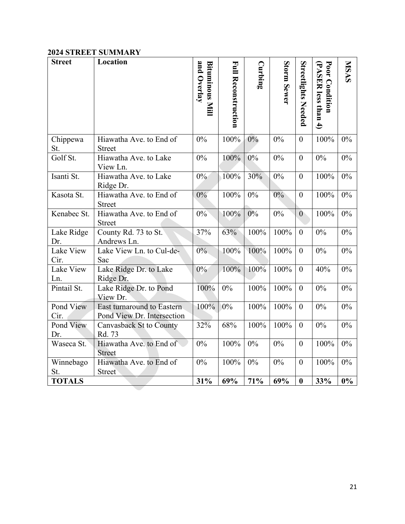#### **2024 STREET SUMMARY**

| <b>Street</b>     | Location                                                 | and Overlay<br>Bituminous Mill | <b>Full Reconstruction</b> | Curbing | Storm Sewer | <b>Streetlights Needed</b> | Poor Condition<br>(PASER less than<br>$\overline{4}$ | <b>NISAS</b> |
|-------------------|----------------------------------------------------------|--------------------------------|----------------------------|---------|-------------|----------------------------|------------------------------------------------------|--------------|
| Chippewa          | Hiawatha Ave. to End of                                  | 0%                             | 100%                       | $0\%$   | 0%          | $\overline{0}$             | 100%                                                 | 0%           |
| St.               | <b>Street</b>                                            |                                |                            |         |             |                            |                                                      |              |
| Golf St.          | Hiawatha Ave. to Lake<br>View Ln.                        | 0%                             | 100%                       | $0\%$   | 0%          | $\theta$                   | 0%                                                   | $0\%$        |
| Isanti St.        | Hiawatha Ave. to Lake<br>Ridge Dr.                       | $0\%$                          | 100%                       | 30%     | 0%          | $\theta$                   | 100%                                                 | 0%           |
| Kasota St.        | Hiawatha Ave. to End of<br><b>Street</b>                 | 0%                             | 100%                       | 0%      | $0\%$       | $\theta$                   | 100%                                                 | 0%           |
| Kenabec St.       | Hiawatha Ave. to End of<br><b>Street</b>                 | $0\%$                          | 100%                       | 0%      | $0\%$       | $\overline{0}$             | 100%                                                 | 0%           |
| Lake Ridge        | County Rd. 73 to St.                                     | 37%                            | 63%                        | 100%    | 100%        | $\theta$                   | 0%                                                   | 0%           |
| Dr.               | Andrews Ln.                                              |                                |                            |         |             |                            |                                                      |              |
| Lake View<br>Cir. | Lake View Ln. to Cul-de-<br>Sac                          | $0\%$                          | 100%                       | 100%    | 100%        | $\theta$                   | 0%                                                   | 0%           |
| Lake View<br>Ln.  | Lake Ridge Dr. to Lake<br>Ridge Dr.                      | $0\%$                          | 100%                       | 100%    | 100%        | $\theta$                   | 40%                                                  | $0\%$        |
| Pintail St.       | Lake Ridge Dr. to Pond<br>View Dr.                       | 100%                           | $0\%$                      | 100%    | 100%        | $\theta$                   | 0%                                                   | 0%           |
| Pond View<br>Cir. | East turnaround to Eastern<br>Pond View Dr. Intersection | 100%                           | $0\%$                      | 100%    | 100%        | $\theta$                   | 0%                                                   | 0%           |
| Pond View<br>Dr.  | Canvasback St to County<br>Rd. 73                        | 32%                            | 68%                        | 100%    | 100%        | $\theta$                   | $0\%$                                                | 0%           |
| Waseca St.        | Hiawatha Ave. to End of<br><b>Street</b>                 | 0%                             | 100%                       | 0%      | $0\%$       | $\theta$                   | 100%                                                 | 0%           |
| Winnebago<br>St.  | Hiawatha Ave. to End of<br><b>Street</b>                 | 0%                             | 100%                       | 0%      | 0%          | $\theta$                   | 100%                                                 | $0\%$        |
| <b>TOTALS</b>     |                                                          | 31%                            | 69%                        | 71%     | 69%         | $\boldsymbol{0}$           | 33%                                                  | $0\%$        |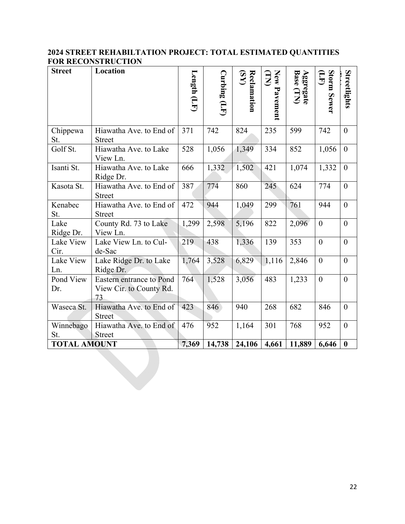### **2024 STREET REHABILTATION PROJECT: TOTAL ESTIMATED QUANTITIES FOR RECONSTRUCTION**

| <b>Street</b>       | Location                                                  | Length $(LF)$ | $\operatorname{Curlning}\left(\operatorname{LF}\right)$ | Reclamation<br>(SY) | New Pavement<br>(LX) | Aggregate<br>Base (TN) | Storm Sewer<br>Ê | Streetlights     |
|---------------------|-----------------------------------------------------------|---------------|---------------------------------------------------------|---------------------|----------------------|------------------------|------------------|------------------|
|                     |                                                           |               |                                                         |                     |                      |                        |                  |                  |
| Chippewa<br>St.     | Hiawatha Ave. to End of<br><b>Street</b>                  | 371           | 742                                                     | 824                 | 235                  | 599                    | 742              | $\overline{0}$   |
| Golf St.            | Hiawatha Ave. to Lake<br>View Ln.                         | 528           | 1,056                                                   | 1,349               | 334                  | 852                    | 1,056            | $\overline{0}$   |
| Isanti St.          | Hiawatha Ave. to Lake<br>Ridge Dr.                        | 666           | 1,332                                                   | 1,502               | 421                  | 1,074                  | 1,332            | $\boldsymbol{0}$ |
| Kasota St.          | Hiawatha Ave. to End of<br><b>Street</b>                  | 387           | 774                                                     | 860                 | 245                  | 624                    | 774              | $\boldsymbol{0}$ |
| Kenabec<br>St.      | Hiawatha Ave. to End of<br><b>Street</b>                  | 472           | 944                                                     | 1,049               | 299                  | 761                    | 944              | $\overline{0}$   |
| Lake<br>Ridge Dr.   | County Rd. 73 to Lake<br>View Ln.                         | 1,299         | 2,598                                                   | 5,196               | 822                  | 2,096                  | $\boldsymbol{0}$ | $\overline{0}$   |
| Lake View<br>Cir.   | Lake View Ln. to Cul-<br>de-Sac                           | 219           | 438                                                     | 1,336               | 139                  | 353                    | $\overline{0}$   | $\boldsymbol{0}$ |
| Lake View<br>Ln.    | Lake Ridge Dr. to Lake<br>Ridge Dr.                       | 1,764         | 3,528                                                   | 6,829               | 1,116                | 2,846                  | $\boldsymbol{0}$ | $\overline{0}$   |
| Pond View<br>Dr.    | Eastern entrance to Pond<br>View Cir. to County Rd.<br>73 | 764           | 1,528                                                   | 3,056               | 483                  | 1,233                  | $\boldsymbol{0}$ | $\theta$         |
| Waseca St.          | Hiawatha Ave. to End of<br><b>Street</b>                  | 423           | 846                                                     | 940                 | 268                  | 682                    | 846              | $\theta$         |
| Winnebago<br>St.    | Hiawatha Ave. to End of<br><b>Street</b>                  | 476           | 952                                                     | 1,164               | 301                  | 768                    | 952              | $\overline{0}$   |
| <b>TOTAL AMOUNT</b> |                                                           | 7,369         | 14,738                                                  | 24,106              | 4,661                | 11,889                 | 6,646            | $\bf{0}$         |
|                     |                                                           |               |                                                         |                     |                      |                        |                  |                  |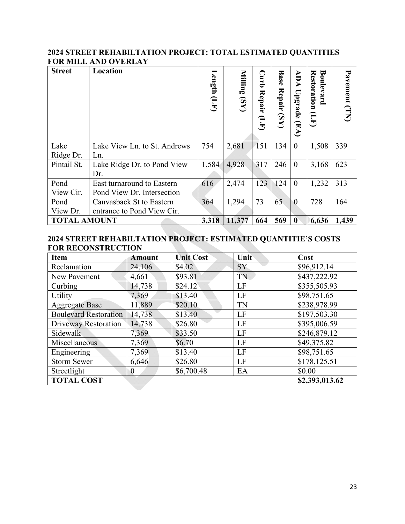#### **2024 STREET REHABILTATION PROJECT: TOTAL ESTIMATED QUANTITIES FOR MILL AND OVERLAY**

| <b>Street</b>       | Location                                                 | Length<br>$\overline{\mathbf{H}}$ | Milling<br>(S <sub>N</sub> ) | <b>Curb</b><br><b>Repair</b><br>H<br>E | <b>Base</b><br>Repair<br>(S <sub>N</sub> ) | ADA<br>Upgrade<br>$(\mathbb{F}A)$ | <b>Restoration</b><br>Boulevard<br>G<br>J | Pavement (TN) |
|---------------------|----------------------------------------------------------|-----------------------------------|------------------------------|----------------------------------------|--------------------------------------------|-----------------------------------|-------------------------------------------|---------------|
| Lake<br>Ridge Dr.   | Lake View Ln. to St. Andrews<br>Ln.                      | 754                               | 2,681                        | 151                                    | 134                                        | $\boldsymbol{0}$                  | 1,508                                     | 339           |
| Pintail St.         | Lake Ridge Dr. to Pond View<br>Dr.                       | 1,584                             | 4,928                        | 317                                    | 246                                        | $\theta$                          | 3,168                                     | 623           |
| Pond<br>View Cir.   | East turnaround to Eastern<br>Pond View Dr. Intersection | 616                               | 2,474                        | 123                                    | 124                                        | $\overline{0}$                    | 1,232                                     | 313           |
| Pond<br>View Dr.    | Canvasback St to Eastern<br>entrance to Pond View Cir.   | 364                               | 1,294                        | 73                                     | 65                                         | $\overline{0}$                    | 728                                       | 164           |
| <b>TOTAL AMOUNT</b> |                                                          | 3,318                             | 11,377                       | 664                                    | 569                                        | $\boldsymbol{0}$                  | 6,636                                     | 1,439         |

#### **2024 STREET REHABILTATION PROJECT: ESTIMATED QUANTITIE'S COSTS FOR RECONSTRUCTION**

| <b>Item</b>                  | <b>Amount</b>  | <b>Unit Cost</b> | Unit      | Cost           |
|------------------------------|----------------|------------------|-----------|----------------|
| Reclamation                  | 24,106         | \$4.02           | SY        | \$96,912.14    |
| New Pavement                 | 4,661          | \$93.81          | TN        | \$437,222.92   |
| Curbing                      | 14,738         | \$24.12          | LF        | \$355,505.93   |
| Utility                      | 7,369          | \$13.40          | LF        | \$98,751.65    |
| <b>Aggregate Base</b>        | 11,889         | \$20.10          | <b>TN</b> | \$238,978.99   |
| <b>Boulevard Restoration</b> | 14,738         | \$13.40          | LF        | \$197,503.30   |
| Driveway Restoration         | 14,738         | \$26.80          | LF        | \$395,006.59   |
| <b>Sidewalk</b>              | 7,369          | \$33.50          | LF        | \$246,879.12   |
| Miscellaneous                | 7,369          | \$6.70           | LF        | \$49,375.82    |
| Engineering                  | 7,369          | \$13.40          | LF        | \$98,751.65    |
| <b>Storm Sewer</b>           | 6,646          | \$26.80          | LF        | \$178,125.51   |
| Streetlight                  | $\overline{0}$ | \$6,700.48       | EA        | \$0.00         |
| <b>TOTAL COST</b>            |                |                  |           | \$2,393,013.62 |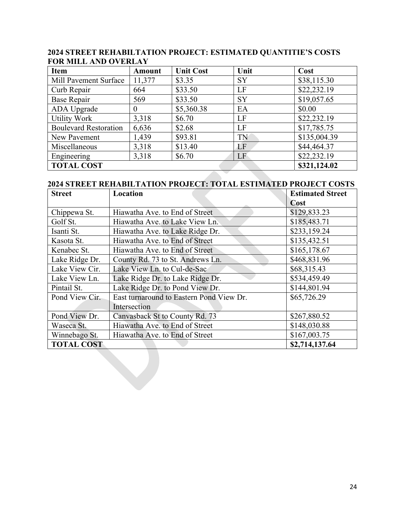| Item                         | <b>Amount</b> | <b>Unit Cost</b> | Unit      | Cost         |
|------------------------------|---------------|------------------|-----------|--------------|
| Mill Pavement Surface        | 11,377        | \$3.35           | <b>SY</b> | \$38,115.30  |
| Curb Repair                  | 664           | \$33.50          | LF        | \$22,232.19  |
| <b>Base Repair</b>           | 569           | \$33.50          | <b>SY</b> | \$19,057.65  |
| ADA Upgrade                  | $\theta$      | \$5,360.38       | EA        | \$0.00       |
| <b>Utility Work</b>          | 3,318         | \$6.70           | LF        | \$22,232.19  |
| <b>Boulevard Restoration</b> | 6,636         | \$2.68           | LF        | \$17,785.75  |
| New Pavement                 | 1,439         | \$93.81          | TN        | \$135,004.39 |
| Miscellaneous                | 3,318         | \$13.40          | LF        | \$44,464.37  |
| Engineering                  | 3,318         | \$6.70           | LF        | \$22,232.19  |
| <b>TOTAL COST</b>            |               |                  |           | \$321,124.02 |

#### **2024 STREET REHABILTATION PROJECT: ESTIMATED QUANTITIE'S COSTS FOR MILL AND OVERLAY**

### **2024 STREET REHABILTATION PROJECT: TOTAL ESTIMATED PROJECT COSTS**

| <b>Street</b>     | Location                                 | <b>Estimated Street</b> |
|-------------------|------------------------------------------|-------------------------|
|                   |                                          | Cost                    |
| Chippewa St.      | Hiawatha Ave. to End of Street           | \$129,833.23            |
| Golf St.          | Hiawatha Ave. to Lake View Ln.           | \$185,483.71            |
| Isanti St.        | Hiawatha Ave. to Lake Ridge Dr.          | \$233,159.24            |
| Kasota St.        | Hiawatha Ave. to End of Street           | \$135,432.51            |
| Kenabec St.       | Hiawatha Ave. to End of Street           | \$165,178.67            |
| Lake Ridge Dr.    | County Rd. 73 to St. Andrews Ln.         | \$468,831.96            |
| Lake View Cir.    | Lake View Ln. to Cul-de-Sac              | \$68,315.43             |
| Lake View Ln.     | Lake Ridge Dr. to Lake Ridge Dr.         | \$534,459.49            |
| Pintail St.       | Lake Ridge Dr. to Pond View Dr.          | \$144,801.94            |
| Pond View Cir.    | East turnaround to Eastern Pond View Dr. | \$65,726.29             |
|                   | Intersection                             |                         |
| Pond View Dr.     | Canvasback St to County Rd. 73           | \$267,880.52            |
| Waseca St.        | Hiawatha Ave. to End of Street           | \$148,030.88            |
| Winnebago St.     | Hiawatha Ave. to End of Street           | \$167,003.75            |
| <b>TOTAL COST</b> |                                          | \$2,714,137.64          |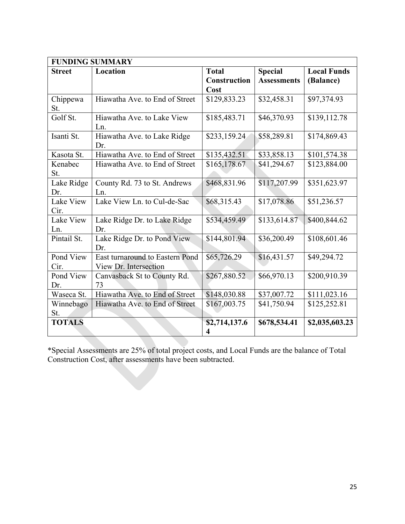|                   | <b>FUNDING SUMMARY</b>                                   |                    |                    |                    |
|-------------------|----------------------------------------------------------|--------------------|--------------------|--------------------|
| <b>Street</b>     | Location                                                 | <b>Total</b>       | <b>Special</b>     | <b>Local Funds</b> |
|                   |                                                          | Construction       | <b>Assessments</b> | (Balance)          |
|                   |                                                          | Cost               |                    |                    |
| Chippewa<br>St.   | Hiawatha Ave. to End of Street                           | \$129,833.23       | \$32,458.31        | \$97,374.93        |
| Golf St.          | Hiawatha Ave. to Lake View<br>Ln.                        | \$185,483.71       | \$46,370.93        | \$139,112.78       |
| Isanti St.        | Hiawatha Ave. to Lake Ridge<br>Dr.                       | \$233,159.24       | \$58,289.81        | \$174,869.43       |
| Kasota St.        | Hiawatha Ave. to End of Street                           | \$135,432.51       | \$33,858.13        | \$101,574.38       |
| Kenabec<br>St.    | Hiawatha Ave. to End of Street                           | \$165,178.67       | \$41,294.67        | \$123,884.00       |
| Lake Ridge<br>Dr. | County Rd. 73 to St. Andrews<br>Ln.                      | \$468,831.96       | \$117,207.99       | \$351,623.97       |
| Lake View<br>Cir. | Lake View Ln. to Cul-de-Sac                              | \$68,315.43        | \$17,078.86        | \$51,236.57        |
| Lake View<br>Ln.  | Lake Ridge Dr. to Lake Ridge<br>Dr.                      | \$534,459.49       | \$133,614.87       | \$400,844.62       |
| Pintail St.       | Lake Ridge Dr. to Pond View<br>Dr.                       | \$144,801.94       | \$36,200.49        | \$108,601.46       |
| Pond View<br>Cir. | East turnaround to Eastern Pond<br>View Dr. Intersection | \$65,726.29        | \$16,431.57        | \$49,294.72        |
| Pond View<br>Dr.  | Canvasback St to County Rd.<br>73                        | \$267,880.52       | \$66,970.13        | \$200,910.39       |
| Waseca St.        | Hiawatha Ave. to End of Street                           | \$148,030.88       | \$37,007.72        | \$111,023.16       |
| Winnebago<br>St.  | Hiawatha Ave. to End of Street                           | \$167,003.75       | \$41,750.94        | \$125,252.81       |
| <b>TOTALS</b>     |                                                          | \$2,714,137.6<br>4 | \$678,534.41       | \$2,035,603.23     |

\*Special Assessments are 25% of total project costs, and Local Funds are the balance of Total Construction Cost, after assessments have been subtracted.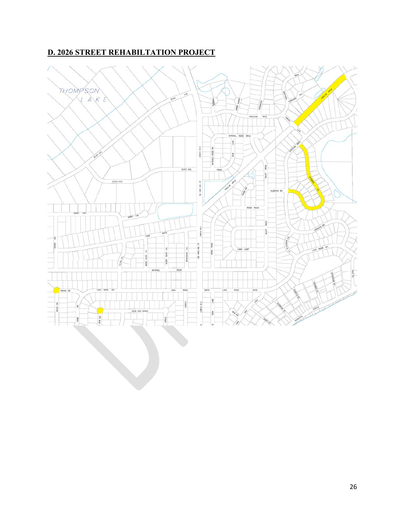## **D. 2026 STREET REHABILTATION PROJECT**

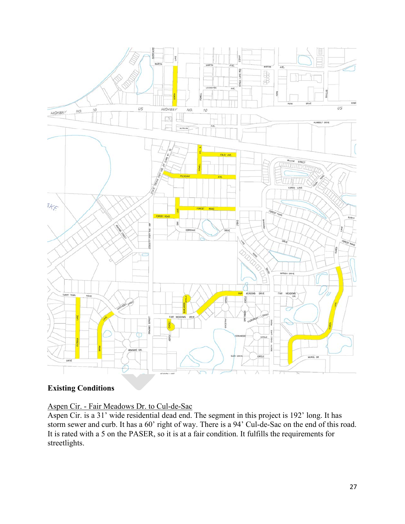

## **Existing Conditions**

Aspen Cir. - Fair Meadows Dr. to Cul-de-Sac

Aspen Cir. is a 31' wide residential dead end. The segment in this project is 192' long. It has storm sewer and curb. It has a 60' right of way. There is a 94' Cul-de-Sac on the end of this road. It is rated with a 5 on the PASER, so it is at a fair condition. It fulfills the requirements for streetlights.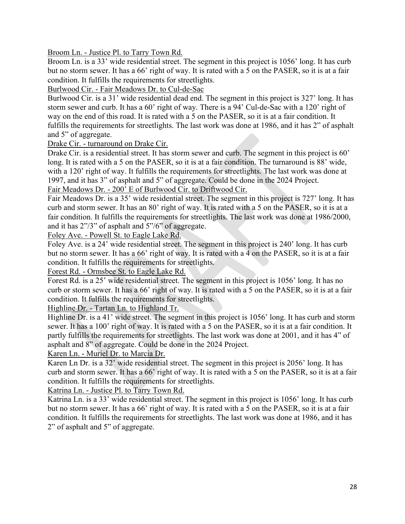Broom Ln. - Justice Pl. to Tarry Town Rd.

Broom Ln. is a 33' wide residential street. The segment in this project is 1056' long. It has curb but no storm sewer. It has a 66' right of way. It is rated with a 5 on the PASER, so it is at a fair condition. It fulfills the requirements for streetlights.

Burlwood Cir. - Fair Meadows Dr. to Cul-de-Sac

Burlwood Cir. is a 31' wide residential dead end. The segment in this project is 327' long. It has storm sewer and curb. It has a 60' right of way. There is a 94' Cul-de-Sac with a 120' right of way on the end of this road. It is rated with a 5 on the PASER, so it is at a fair condition. It fulfills the requirements for streetlights. The last work was done at 1986, and it has 2" of asphalt and 5" of aggregate.

Drake Cir. - turnaround on Drake Cir.

Drake Cir. is a residential street. It has storm sewer and curb. The segment in this project is 60' long. It is rated with a 5 on the PASER, so it is at a fair condition. The turnaround is 88' wide, with a 120' right of way. It fulfills the requirements for streetlights. The last work was done at 1997, and it has 3" of asphalt and 5" of aggregate. Could be done in the 2024 Project.

Fair Meadows Dr. - 200' E of Burlwood Cir. to Driftwood Cir.

Fair Meadows Dr. is a 35' wide residential street. The segment in this project is 727' long. It has curb and storm sewer. It has an 80' right of way. It is rated with a 5 on the PASER, so it is at a fair condition. It fulfills the requirements for streetlights. The last work was done at 1986/2000, and it has 2"/3" of asphalt and 5"/6" of aggregate.

Foley Ave. - Powell St. to Eagle Lake Rd.

Foley Ave. is a 24' wide residential street. The segment in this project is 240' long. It has curb but no storm sewer. It has a 66' right of way. It is rated with a 4 on the PASER, so it is at a fair condition. It fulfills the requirements for streetlights.

Forest Rd. - Ormsbee St. to Eagle Lake Rd.

Forest Rd. is a 25' wide residential street. The segment in this project is 1056' long. It has no curb or storm sewer. It has a 66' right of way. It is rated with a 5 on the PASER, so it is at a fair condition. It fulfills the requirements for streetlights.

Highline Dr. - Tartan Ln. to Highland Tr.

Highline Dr. is a 41' wide street. The segment in this project is 1056' long. It has curb and storm sewer. It has a 100' right of way. It is rated with a 5 on the PASER, so it is at a fair condition. It partly fulfills the requirements for streetlights. The last work was done at 2001, and it has 4" of asphalt and 8" of aggregate. Could be done in the 2024 Project.

Karen Ln. - Muriel Dr. to Marcia Dr.

Karen Ln Dr. is a 32' wide residential street. The segment in this project is 2056' long. It has curb and storm sewer. It has a 66' right of way. It is rated with a 5 on the PASER, so it is at a fair condition. It fulfills the requirements for streetlights.

Katrina Ln. - Justice Pl. to Tarry Town Rd.

Katrina Ln. is a 33' wide residential street. The segment in this project is 1056' long. It has curb but no storm sewer. It has a 66' right of way. It is rated with a 5 on the PASER, so it is at a fair condition. It fulfills the requirements for streetlights. The last work was done at 1986, and it has 2" of asphalt and 5" of aggregate.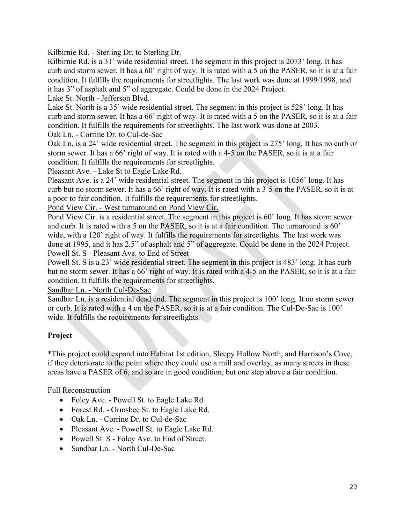Kilbirnie Rd. - Sterling Dr. to Sterling Dr.

Kilbirnie Rd. is a 31' wide residential street. The segment in this project is 2073' long. It has curb and storm sewer. It has a 60' right of way. It is rated with a 5 on the PASER, so it is at a fair condition. It fulfills the requirements for streetlights. The last work was done at 1999/1998, and it has 3" of asphalt and 5" of aggregate. Could be done in the 2024 Project.

#### Lake St. North - Jefferson Blvd.

Lake St. North is a 35' wide residential street. The segment in this project is 528' long. It has curb and storm sewer. It has a 66' right of way. It is rated with a 5 on the PASER, so it is at a fair condition. It fulfills the requirements for streetlights. The last work was done at 2003.

Oak Ln. - Corrine Dr. to Cul-de-Sac

Oak Ln. is a 24' wide residential street. The segment in this project is 275' long. It has no curb or storm sewer. It has a 66' right of way. It is rated with a 4-5 on the PASER, so it is at a fair condition. It fulfills the requirements for streetlights.

Pleasant Ave. - Lake St to Eagle Lake Rd.

Pleasant Ave. is a 24' wide residential street. The segment in this project is 1056' long. It has curb but no storm sewer. It has a 66' right of way. It is rated with a 3-5 on the PASER, so it is at a poor to fair condition. It fulfills the requirements for streetlights.

Pond View Cir. - West turnaround on Pond View Cir.

Pond View Cir. is a residential street. The segment in this project is 60' long. It has storm sewer and curb. It is rated with a 5 on the PASER, so it is at a fair condition. The turnaround is 60' wide, with a 120' right of way. It fulfills the requirements for streetlights. The last work was done at 1995, and it has 2.5" of asphalt and 5" of aggregate. Could be done in the 2024 Project. Powell St. S - Pleasant Ave. to End of Street

Powell St. S is a 23' wide residential street. The segment in this project is 483' long. It has curb but no storm sewer. It has a 66' right of way. It is rated with a 4-5 on the PASER, so it is at a fair condition. It fulfills the requirements for streetlights.

Sandbar Ln. - North Cul-De-Sac

Sandbar Ln. is a residential dead end. The segment in this project is 100' long. It no storm sewer or curb. It is rated with a 4 on the PASER, so it is at a fair condition. The Cul-De-Sac is 100' wide. It fulfills the requirements for streetlights.

#### **Project**

\*This project could expand into Habitat 1st edition, Sleepy Hollow North, and Harrison's Cove, if they deteriorate to the point where they could use a mill and overlay, as many streets in these areas have a PASER of 6, and so are in good condition, but one step above a fair condition.

Full Reconstruction

- Foley Ave. Powell St. to Eagle Lake Rd.
- Forest Rd. Ormsbee St. to Eagle Lake Rd.
- Oak Ln. Corrine Dr. to Cul-de-Sac
- Pleasant Ave. Powell St. to Eagle Lake Rd.
- Powell St. S Foley Ave. to End of Street.
- Sandbar Ln. North Cul-De-Sac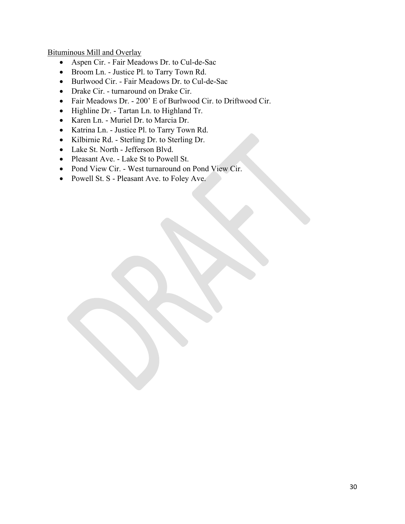Bituminous Mill and Overlay

- Aspen Cir. Fair Meadows Dr. to Cul-de-Sac
- Broom Ln. Justice Pl. to Tarry Town Rd.
- Burlwood Cir. Fair Meadows Dr. to Cul-de-Sac
- Drake Cir. turnaround on Drake Cir.
- Fair Meadows Dr. 200' E of Burlwood Cir. to Driftwood Cir.
- Highline Dr. Tartan Ln. to Highland Tr.
- Karen Ln. Muriel Dr. to Marcia Dr.
- Katrina Ln. Justice Pl. to Tarry Town Rd.
- Kilbirnie Rd. Sterling Dr. to Sterling Dr.
- Lake St. North Jefferson Blvd.
- Pleasant Ave. Lake St to Powell St.
- Pond View Cir. West turnaround on Pond View Cir.
- Powell St. S Pleasant Ave. to Foley Ave.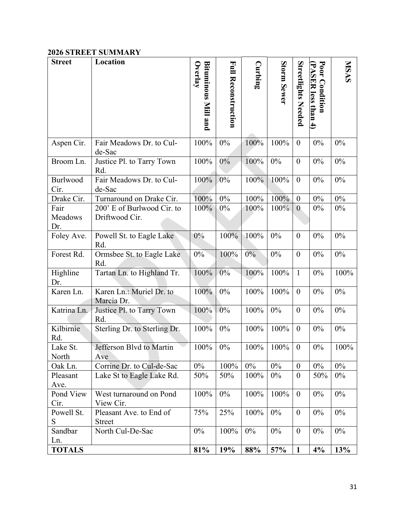### **2026 STREET SUMMARY**

| <b>Street</b>          | Location                                     | Overlay<br>Bituminous Mill and | <b>Full Reconstruction</b> | Curbing | Storm Sewer | <b>Streetlights Needed</b> | Poor Condition<br>PASER less than 4) | <b>NISAS</b> |
|------------------------|----------------------------------------------|--------------------------------|----------------------------|---------|-------------|----------------------------|--------------------------------------|--------------|
| Aspen Cir.             | Fair Meadows Dr. to Cul-<br>de-Sac           | 100%                           | 0%                         | 100%    | 100%        | $\boldsymbol{0}$           | $0\%$                                | $0\%$        |
| Broom Ln.              | Justice Pl. to Tarry Town<br>Rd.             | 100%                           | $0\%$                      | 100%    | 0%          | $\boldsymbol{0}$           | $0\%$                                | $0\%$        |
| Burlwood<br>Cir.       | Fair Meadows Dr. to Cul-<br>de-Sac           | 100%                           | 0%                         | 100%    | 100%        | $\overline{0}$             | $0\%$                                | $0\%$        |
| Drake Cir.             | Turnaround on Drake Cir.                     | 100%                           | $0\%$                      | 100%    | 100%        | $\boldsymbol{0}$           | $0\%$                                | $0\%$        |
| Fair<br>Meadows<br>Dr. | 200' E of Burlwood Cir. to<br>Driftwood Cir. | 100%                           | $0\%$                      | 100%    | 100%        | $\mathbf{0}$               | $0\%$                                | $0\%$        |
| Foley Ave.             | Powell St. to Eagle Lake<br>Rd.              | $0\%$                          | 100%                       | 100%    | 0%          | $\overline{0}$             | 0%                                   | 0%           |
| Forest Rd.             | Ormsbee St. to Eagle Lake<br>Rd.             | 0%                             | 100%                       | $0\%$   | $0\%$       | $\boldsymbol{0}$           | $0\%$                                | $0\%$        |
| Highline<br>Dr.        | Tartan Ln. to Highland Tr.                   | 100%                           | $0\%$                      | 100%    | 100%        | $\mathbf{1}$               | $0\%$                                | 100%         |
| Karen Ln.              | Karen Ln.: Muriel Dr. to<br>Marcia Dr.       | 100%                           | $0\%$                      | 100%    | 100%        | $\overline{0}$             | $0\%$                                | $0\%$        |
| Katrina Ln.            | Justice Pl. to Tarry Town<br>Rd.             | 100%                           | 0%                         | 100%    | $0\%$       | $\boldsymbol{0}$           | $0\%$                                | 0%           |
| Kilbirnie<br>Rd.       | Sterling Dr. to Sterling Dr.                 | 100%                           | $0\%$                      | 100%    | 100%        | $\boldsymbol{0}$           | $0\%$                                | $0\%$        |
| Lake St.<br>North      | Jefferson Blvd to Martin<br>Ave              | 100%                           | $0\%$                      | 100%    | 100%        | $\boldsymbol{0}$           | $0\%$                                | 100%         |
| Oak Ln.                | Corrine Dr. to Cul-de-Sac                    | $0\%$                          | 100%                       | $0\%$   | $0\%$       | $\boldsymbol{0}$           | 0%                                   | $0\%$        |
| Pleasant<br>Ave.       | Lake St to Eagle Lake Rd.                    | 50%                            | 50%                        | 100%    | $0\%$       | $\overline{0}$             | 50%                                  | $0\%$        |
| Pond View<br>Cir.      | West turnaround on Pond<br>View Cir.         | 100%                           | $0\%$                      | 100%    | 100%        | $\overline{0}$             | $0\%$                                | $0\%$        |
| Powell St.<br>S        | Pleasant Ave. to End of<br><b>Street</b>     | 75%                            | 25%                        | 100%    | $0\%$       | $\boldsymbol{0}$           | $0\%$                                | $0\%$        |
| Sandbar<br>Ln.         | North Cul-De-Sac                             | $0\%$                          | 100%                       | 0%      | $0\%$       | $\boldsymbol{0}$           | $0\%$                                | $0\%$        |
| <b>TOTALS</b>          |                                              | 81%                            | 19%                        | 88%     | 57%         | $\mathbf{1}$               | 4%                                   | 13%          |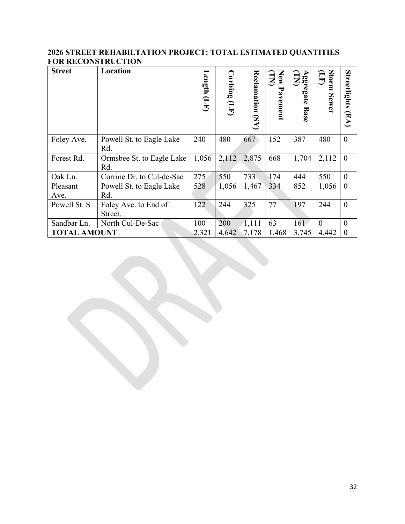#### **2026 STREET REHABILTATION PROJECT: TOTAL ESTIMATED QUANTITIES FOR RECONSTRUCTION**

| <b>Street</b>       | Location                         | Length $(\mathbf{L}\mathbf{F})$ | $\mathbf{C}$ urbing $(\mathbf{L} \mathbf{F})$ | Reclamation (SY) | New<br>(LZ<br>Pavement | Aggregate <sup>1</sup><br>(TN)<br><b>Base</b> | Storm<br>Ê<br>Sewer | Streetlights<br>$(\mathbb{E}\mathbf{A})$ |
|---------------------|----------------------------------|---------------------------------|-----------------------------------------------|------------------|------------------------|-----------------------------------------------|---------------------|------------------------------------------|
| Foley Ave.          | Powell St. to Eagle Lake<br>Rd.  | 240                             | 480                                           | 667              | 152                    | 387                                           | 480                 | $\theta$                                 |
| Forest Rd.          | Ormsbee St. to Eagle Lake<br>Rd. | 1,056                           | 2,112                                         | 2,875            | 668                    | 1,704                                         | 2,112               | $\theta$                                 |
| Oak Ln.             | Corrine Dr. to Cul-de-Sac        | 275                             | 550                                           | 733              | 174                    | 444                                           | 550                 | $\boldsymbol{0}$                         |
| Pleasant<br>Ave.    | Powell St. to Eagle Lake<br>Rd.  | 528                             | 1,056                                         | 1,467            | 334                    | 852                                           | 1,056               | $\Omega$                                 |
| Powell St. S        | Foley Ave. to End of<br>Street.  | 122                             | 244                                           | 325              | 77                     | 197                                           | 244                 | $\theta$                                 |
| Sandbar Ln.         | North Cul-De-Sac                 | 100                             | 200                                           | 1,111            | 63                     | 161                                           | $\theta$            | $\theta$                                 |
| <b>TOTAL AMOUNT</b> |                                  | 2,321                           | 4,642                                         | 7,178            | 1,468                  | 3,745                                         | 4,442               | $\theta$                                 |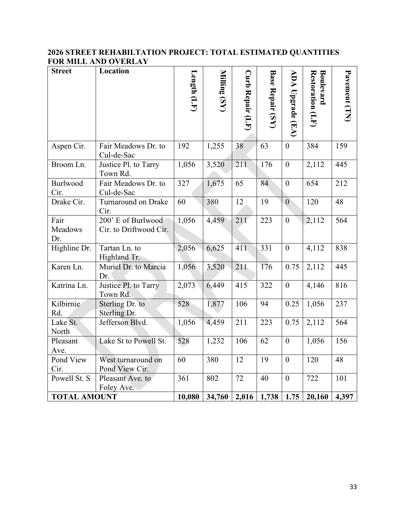### **2026 STREET REHABILTATION PROJECT: TOTAL ESTIMATED QUANTITIES FOR MILL AND OVERLAY**

| <b>Street</b>          | Location                                     | Length $(LF)$ | Milling (SY) | Curb Repair (LF) | <b>Base Repair (SY)</b> | ADA<br>Upgrade (EA) | Restoration (LF)<br>Boulevard | Pavement (TN) |
|------------------------|----------------------------------------------|---------------|--------------|------------------|-------------------------|---------------------|-------------------------------|---------------|
| Aspen Cir.             | Fair Meadows Dr. to<br>Cul-de-Sac            | 192           | 1,255        | 38               | 63                      | $\boldsymbol{0}$    | 384                           | 159           |
| Broom Ln.              | Justice Pl. to Tarry<br>Town Rd.             | 1,056         | 3,520        | 211              | 176                     | $\boldsymbol{0}$    | 2,112                         | 445           |
| Burlwood<br>Cir.       | Fair Meadows Dr. to<br>Cul-de-Sac            | 327           | 1,675        | 65               | 84                      | $\overline{0}$      | 654                           | 212           |
| Drake Cir.             | <b>Turnaround on Drake</b><br>Cir.           | 60            | 380          | 12               | 19                      | $\mathbf{0}$        | 120                           | 48            |
| Fair<br>Meadows<br>Dr. | 200' E of Burlwood<br>Cir. to Driftwood Cir. | 1,056         | 4,459        | 211              | 223                     | $\overline{0}$      | 2,112                         | 564           |
| Highline Dr.           | Tartan Ln. to<br>Highland Tr.                | 2,056         | 6,625        | 411              | 331                     | $\boldsymbol{0}$    | 4,112                         | 838           |
| Karen Ln.              | Muriel Dr. to Marcia<br>Dr.                  | 1,056         | 3,520        | 211              | 176                     | 0.75                | 2,112                         | 445           |
| Katrina Ln.            | Justice Pl. to Tarry<br>Town Rd.             | 2,073         | 6,449        | 415              | 322                     | $\boldsymbol{0}$    | 4,146                         | 816           |
| Kilbirnie<br>Rd.       | Sterling Dr. to<br>Sterling Dr.              | 528           | 1,877        | 106              | 94                      | 0.25                | 1,056                         | 237           |
| Lake St.<br>North      | Jefferson Blvd.                              | 1,056         | 4,459        | 211              | 223                     | 0.75                | 2,112                         | 564           |
| Pleasant<br>Ave.       | Lake St to Powell St.                        | 528           | 1,232        | 106              | 62                      | $\mathbf{0}$        | 1,056                         | 156           |
| Pond View<br>Cir.      | West turnaround on<br>Pond View Cir.         | 60            | 380          | 12               | 19                      | $\boldsymbol{0}$    | 120                           | 48            |
| Powell St. S           | Pleasant Ave. to<br>Foley Ave.               | 361           | 802          | 72               | 40                      | $\boldsymbol{0}$    | 722                           | 101           |
| <b>TOTAL AMOUNT</b>    |                                              | 10,080        | 34,760       | 2,016            | 1,738                   | 1.75                | 20,160                        | 4,397         |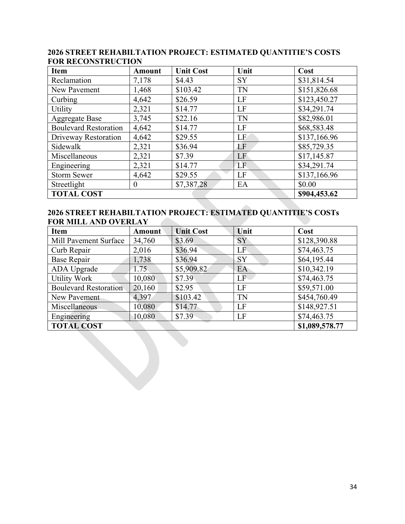| <b>Item</b>                       | <b>Amount</b>    | <b>Unit Cost</b> | Unit      | Cost         |  |
|-----------------------------------|------------------|------------------|-----------|--------------|--|
| Reclamation                       | 7,178            | \$4.43           | <b>SY</b> | \$31,814.54  |  |
| New Pavement                      | 1,468            | \$103.42         | <b>TN</b> | \$151,826.68 |  |
| Curbing                           | 4,642            | \$26.59          | LF        | \$123,450.27 |  |
| <b>Utility</b>                    | 2,321            | \$14.77          | LF        | \$34,291.74  |  |
| <b>Aggregate Base</b>             | 3,745            | \$22.16          | <b>TN</b> | \$82,986.01  |  |
| <b>Boulevard Restoration</b>      | 4,642            | \$14.77          | LF        | \$68,583.48  |  |
| Driveway Restoration              | 4,642            | \$29.55          | LF        | \$137,166.96 |  |
| Sidewalk                          | 2,321            | \$36.94          | LF        | \$85,729.35  |  |
| Miscellaneous                     | 2,321            | \$7.39           | LF        | \$17,145.87  |  |
| Engineering                       | 2,321            | \$14.77          | LF        | \$34,291.74  |  |
| <b>Storm Sewer</b>                | 4,642            | \$29.55          | LF        | \$137,166.96 |  |
| Streetlight                       | $\boldsymbol{0}$ | \$7,387.28       | EA        | \$0.00       |  |
| <b>TOTAL COST</b><br>\$904,453.62 |                  |                  |           |              |  |

#### **2026 STREET REHABILTATION PROJECT: ESTIMATED QUANTITIE'S COSTS FOR RECONSTRUCTION**

#### **2026 STREET REHABILTATION PROJECT: ESTIMATED QUANTITIE'S COSTs FOR MILL AND OVERLAY**

| Item                         | <b>Amount</b> | <b>Unit Cost</b> | Unit      | Cost           |
|------------------------------|---------------|------------------|-----------|----------------|
| Mill Pavement Surface        | 34,760        | \$3.69           | SY        | \$128,390.88   |
| Curb Repair                  | 2,016         | \$36.94          | LF        | \$74,463.75    |
| <b>Base Repair</b>           | 1,738         | \$36.94          | <b>SY</b> | \$64,195.44    |
| ADA Upgrade                  | 1.75          | \$5,909.82       | EA        | \$10,342.19    |
| <b>Utility Work</b>          | 10,080        | \$7.39           | LF        | \$74,463.75    |
| <b>Boulevard Restoration</b> | 20,160        | \$2.95           | LF        | \$59,571.00    |
| New Pavement                 | 4,397         | \$103.42         | <b>TN</b> | \$454,760.49   |
| Miscellaneous                | 10,080        | \$14.77          | LF        | \$148,927.51   |
| Engineering                  | 10,080        | \$7.39           | LF        | \$74,463.75    |
| <b>TOTAL COST</b>            |               |                  |           | \$1,089,578.77 |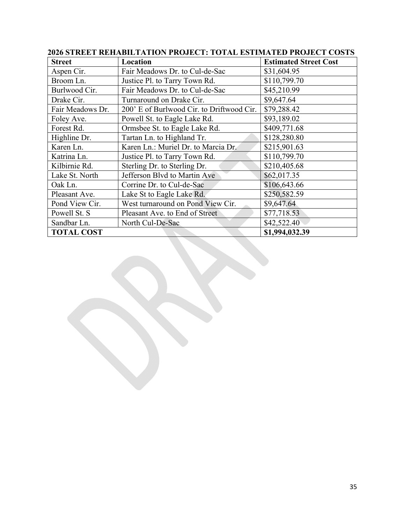| <b>Street</b>     | Location                                  | <b>Estimated Street Cost</b> |
|-------------------|-------------------------------------------|------------------------------|
| Aspen Cir.        | Fair Meadows Dr. to Cul-de-Sac            | \$31,604.95                  |
| Broom Ln.         | Justice Pl. to Tarry Town Rd.             | \$110,799.70                 |
| Burlwood Cir.     | Fair Meadows Dr. to Cul-de-Sac            | \$45,210.99                  |
| Drake Cir.        | Turnaround on Drake Cir.                  | \$9,647.64                   |
| Fair Meadows Dr.  | 200' E of Burlwood Cir. to Driftwood Cir. | \$79,288.42                  |
| Foley Ave.        | Powell St. to Eagle Lake Rd.              | \$93,189.02                  |
| Forest Rd.        | Ormsbee St. to Eagle Lake Rd.             | \$409,771.68                 |
| Highline Dr.      | Tartan Ln. to Highland Tr.                | \$128,280.80                 |
| Karen Ln.         | Karen Ln.: Muriel Dr. to Marcia Dr.       | \$215,901.63                 |
| Katrina Ln.       | Justice Pl. to Tarry Town Rd.             | \$110,799.70                 |
| Kilbirnie Rd.     | Sterling Dr. to Sterling Dr.              | \$210,405.68                 |
| Lake St. North    | Jefferson Blvd to Martin Ave              | \$62,017.35                  |
| Oak Ln.           | Corrine Dr. to Cul-de-Sac                 | \$106,643.66                 |
| Pleasant Ave.     | Lake St to Eagle Lake Rd.                 | \$250,582.59                 |
| Pond View Cir.    | West turnaround on Pond View Cir.         | \$9,647.64                   |
| Powell St. S      | Pleasant Ave. to End of Street            | \$77,718.53                  |
| Sandbar Ln.       | North Cul-De-Sac                          | \$42,522.40                  |
| <b>TOTAL COST</b> |                                           | \$1,994,032.39               |

## **2026 STREET REHABILTATION PROJECT: TOTAL ESTIMATED PROJECT COSTS**